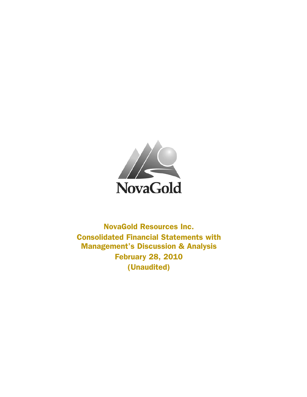

NovaGold Resources Inc. Consolidated Financial Statements with Management's Discussion & Analysis February 28, 2010 (Unaudited)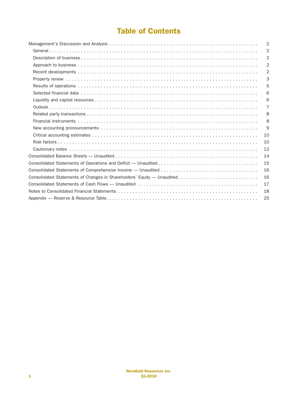# Table of Contents

|                                                                        | $\overline{2}$ |
|------------------------------------------------------------------------|----------------|
|                                                                        | $\overline{2}$ |
|                                                                        | $\overline{2}$ |
|                                                                        | $\overline{2}$ |
|                                                                        | $\overline{2}$ |
|                                                                        | 3              |
|                                                                        | 5              |
|                                                                        | 6              |
|                                                                        | 6              |
|                                                                        | $\overline{7}$ |
|                                                                        | 8              |
|                                                                        | 8              |
|                                                                        | 9              |
|                                                                        | 10             |
|                                                                        | 10             |
|                                                                        | 12             |
|                                                                        | 14             |
|                                                                        | 15             |
|                                                                        | 16             |
| Consolidated Statements of Changes in Shareholders' Equity — Unaudited | 16             |
|                                                                        | 17             |
|                                                                        | 18             |
|                                                                        | 25             |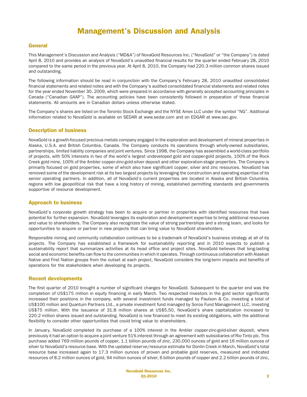# Management's Discussion and Analysis

## **General**

This Management's Discussion and Analysis ("MD&A") of NovaGold Resources Inc. ("NovaGold" or "the Company") is dated April 8, 2010 and provides an analysis of NovaGold's unaudited financial results for the quarter ended February 28, 2010 compared to the same period in the previous year. At April 8, 2010, the Company had 220.3 million common shares issued and outstanding.

The following information should be read in conjunction with the Company's February 28, 2010 unaudited consolidated financial statements and related notes and with the Company's audited consolidated financial statements and related notes for the year ended November 30, 2009, which were prepared in accordance with generally accepted accounting principles in Canada ("Canadian GAAP"). The accounting policies have been consistently followed in preparation of these financial statements. All amounts are in Canadian dollars unless otherwise stated.

The Company's shares are listed on the Toronto Stock Exchange and the NYSE Amex LLC under the symbol "NG". Additional information related to NovaGold is available on SEDAR at www.sedar.com and on EDGAR at www.sec.gov.

#### Description of business

NovaGold is a growth-focused precious metals company engaged in the exploration and development of mineral properties in Alaska, U.S.A. and British Columbia, Canada. The Company conducts its operations through wholly-owned subsidiaries, partnerships, limited liability companies and joint ventures. Since 1998, the Company has assembled a world-class portfolio of projects, with 50% interests in two of the world's largest undeveloped gold and copper-gold projects, 100% of the Rock Creek gold mine, 100% of the Ambler copper-zinc-gold-silver deposit and other exploration-stage properties. The Company is primarily focused on gold properties, some of which also have significant copper, silver and zinc resources. NovaGold has removed some of the development risk at its two largest projects by leveraging the construction and operating expertise of its senior operating partners. In addition, all of NovaGold's current properties are located in Alaska and British Columbia, regions with low geopolitical risk that have a long history of mining, established permitting standards and governments supportive of resource development.

## Approach to business

NovaGold's corporate growth strategy has been to acquire or partner in properties with identified resources that have potential for further expansion. NovaGold leverages its exploration and development expertise to bring additional resources and value to shareholders. The Company also recognizes the value of strong partnerships and a strong team, and looks for opportunities to acquire or partner in new projects that can bring value to NovaGold shareholders.

Responsible mining and community collaboration continues to be a trademark of NovaGold's business strategy at all of its projects. The Company has established a framework for sustainability reporting and in 2010 expects to publish a sustainability report that summarizes activities at its head office and project sites. NovaGold believes that long-lasting social and economic benefits can flow to the communities in which it operates. Through continuous collaboration with Alaskan Native and First Nation groups from the outset at each project, NovaGold considers the long-term impacts and benefits of operations for the stakeholders when developing its projects.

#### Recent developments

The first quarter of 2010 brought a number of significant changes for NovaGold. Subsequent to the quarter end was the completion of US\$175 million in equity financing in early March. Two respected investors in the gold sector significantly increased their positions in the company, with several investment funds managed by Paulson & Co. investing a total of US\$100 million and Quantum Partners Ltd., a private investment fund managed by Soros Fund Management LLC, investing US\$75 million. With the issuance of 31.8 million shares at US\$5.50, NovaGold's share capitalization increased to 220.2 million shares issued and outstanding. NovaGold is now financed to meet its existing obligations, with the additional flexibility to consider other opportunities that could bring value to shareholders.

In January, NovaGold completed its purchase of a 100% interest in the Ambler copper-zinc-gold-silver deposit, where previously it had an option to acquire a joint venture 51% interest through an agreement with subsidiaries of Rio Tinto plc. This purchase added 769 million pounds of copper, 1.1 billion pounds of zinc, 230,000 ounces of gold and 16 million ounces of silver to NovaGold's resource base. With the updated reserve/resource estimate for Donlin Creek in March, NovaGold's total resource base increased again to 17.3 million ounces of proven and probable gold reserves, measured and indicated resources of 8.2 million ounces of gold, 94 million ounces of silver, 6 billion pounds of copper and 2.2 billion pounds of zinc,

> NovaGold Resources Inc. Q1-2010 2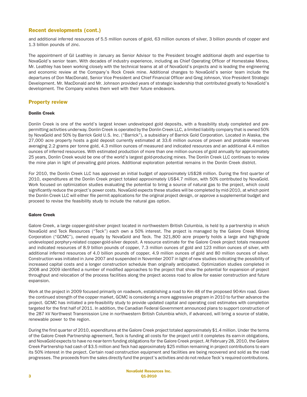# Recent developments (cont.)

and additional inferred resources of 5.5 million ounces of gold, 63 million ounces of silver, 3 billion pounds of copper and 1.3 billion pounds of zinc.

The appointment of Gil Leathley in January as Senior Advisor to the President brought additional depth and expertise to NovaGold's senior team. With decades of industry experience, including as Chief Operating Officer of Homestake Mines, Mr. Leathley has been working closely with the technical teams at all of NovaGold's projects and is leading the engineering and economic review at the Company's Rock Creek mine. Additional changes to NovaGold's senior team include the departures of Don MacDonald, Senior Vice President and Chief Financial Officer and Greg Johnson, Vice President Strategic Development. Mr. MacDonald and Mr. Johnson provided years of strategic leadership that contributed greatly to NovaGold's development. The Company wishes them well with their future endeavors.

### Property review

## Donlin Creek

Donlin Creek is one of the world's largest known undeveloped gold deposits, with a feasibility study completed and prepermitting activities underway. Donlin Creek is operated by the Donlin Creek LLC, a limited liability company that is owned 50% by NovaGold and 50% by Barrick Gold U.S. Inc. ("Barrick"), a subsidiary of Barrick Gold Corporation. Located in Alaska, the 27,000 acre property hosts a gold deposit currently estimated at 33.6 million ounces of proven and probable reserves averaging 2.2 grams per tonne gold, 4.3 million ounces of measured and indicated resources and an additional 4.4 million ounces of inferred resources. With estimated production of more than one million ounces of gold annually for approximately 25 years, Donlin Creek would be one of the world's largest gold-producing mines. The Donlin Creek LLC continues to review the mine plan in light of prevailing gold prices. Additional exploration potential remains in the Donlin Creek district.

For 2010, the Donlin Creek LLC has approved an initial budget of approximately US\$28 million. During the first quarter of 2010, expenditures at the Donlin Creek project totaled approximately US\$4.7 million, with 50% contributed by NovaGold. Work focused on optimization studies evaluating the potential to bring a source of natural gas to the project, which could significantly reduce the project's power costs. NovaGold expects these studies will be completed by mid-2010, at which point the Donlin Creek LLC will either file permit applications for the original project design, or approve a supplemental budget and proceed to revise the feasibility study to include the natural gas option.

#### Galore Creek

Galore Creek, a large copper-gold-silver project located in northwestern British Columbia, is held by a partnership in which NovaGold and Teck Resources ("Teck") each own a 50% interest. The project is managed by the Galore Creek Mining Corporation ("GCMC"), owned equally by NovaGold and Teck. The 321,800 acre property holds a large and high-grade undeveloped porphyry-related copper-gold-silver deposit. A resource estimate for the Galore Creek project totals measured and indicated resources of 8.9 billion pounds of copper, 7.3 million ounces of gold and 123 million ounces of silver, with additional inferred resources of 4.0 billion pounds of copper, 4.9 million ounces of gold and 80 million ounces of silver. Construction was initiated in June 2007 and suspended in November 2007 in light of new studies indicating the possibility of increased capital costs and a longer construction schedule than originally anticipated. Optimization studies completed in 2008 and 2009 identified a number of modified approaches to the project that show the potential for expansion of project throughput and relocation of the process facilities along the project access road to allow for easier construction and future expansion.

Work at the project in 2009 focused primarily on roadwork, establishing a road to Km 48 of the proposed 90-Km road. Given the continued strength of the copper market, GCMC is considering a more aggressive program in 2010 to further advance the project. GCMC has initiated a pre-feasibility study to provide updated capital and operating cost estimates with completion targeted for the first half of 2011. In addition, the Canadian Federal Government announced plans to support construction of the 287 kV Northwest Transmission Line in northwestern British Columbia which, if advanced, will bring a source of stable, renewable power to the region.

During the first quarter of 2010, expenditures at the Galore Creek project totaled approximately \$1.4 million. Under the terms of the Galore Creek Partnership agreement, Teck is funding all costs for the project until it completes its earn-in obligations, and NovaGold expects to have no near-term funding obligations for the Galore Creek project. At February 28, 2010, the Galore Creek Partnership had cash of \$3.5 million and Teck had approximately \$25 million remaining in project contributions to earn its 50% interest in the project. Certain road construction equipment and facilities are being recovered and sold as the road progresses. The proceeds from the sales directly fund the project's activities and do not reduce Teck's required contributions.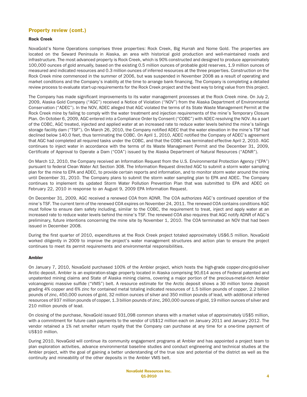# Property review (cont.)

## Rock Creek

NovaGold's Nome Operations comprises three properties: Rock Creek, Big Hurrah and Nome Gold. The properties are located on the Seward Peninsula in Alaska, an area with historical gold production and well-maintained roads and infrastructure. The most advanced property is Rock Creek, which is 90% constructed and designed to produce approximately 100,000 ounces of gold annually, based on the existing 0.5 million ounces of probable gold reserves, 1.9 million ounces of measured and indicated resources and 0.3 million ounces of inferred resources at the three properties. Construction on the Rock Creek mine commenced in the summer of 2006, but was suspended in November 2008 as a result of operating and market conditions and the Company's inability at the time to arrange bank financing. The Company is completing a detailed review process to evaluate start-up requirements for the Rock Creek project and the best way to bring value from this project.

The Company has made significant improvements to its water management processes at the Rock Creek mine. On July 2, 2009, Alaska Gold Company ("AGC") received a Notice of Violation ("NOV") from the Alaska Department of Environmental Conservation ("ADEC"). In the NOV, ADEC alleged that AGC violated the terms of its State Waste Management Permit at the Rock Creek mine by failing to comply with the water treatment and injection requirements of the mine's Temporary Closure Plan. On October 6, 2009, AGC entered into a Compliance Order by Consent ("COBC") with ADEC resolving the NOV. As a part of the COBC, AGC treated, injected and applied water at an increased rate to reduce water levels behind the mine's tailings storage facility dam ("TSF"). On March 26, 2010, the Company notified ADEC that the water elevation in the mine's TSF had declined below 140.0 feet, thus terminating the COBC. On April 1, 2010, ADEC notified the Company of ADEC's agreement that AGC had completed all required tasks under the COBC, and that the COBC was terminated effective April 2, 2010. AGC continues to inject water in accordance with the terms of its Waste Management Permit and the December 31, 2009, Certificate of Approval to Operate a Dam ("COA") issued by the Alaska Department of Natural Resources ("ADNR").

On March 12, 2010, the Company received an Information Request from the U.S. Environmental Protection Agency ("EPA") pursuant to federal Clean Water Act Section 308. The Information Request directed AGC to submit a storm water sampling plan for the mine to EPA and ADEC, to provide certain reports and information, and to monitor storm water around the mine until December 31, 2010. The Company plans to submit the storm water sampling plan to EPA and ADEC. The Company continues to implement its updated Storm Water Pollution Prevention Plan that was submitted to EPA and ADEC on February 22, 2010 in response to an August 9, 2009 EPA Information Request.

On December 31, 2009, AGC received a renewed COA from ADNR. The COA authorizes AGC's continued operation of the mine's TSF. The current term of the renewed COA expires on November 24, 2011. The renewed COA contains conditions AGC must follow to ensure dam safety including, similar to the COBC, the requirement to treat, inject and apply water at an increased rate to reduce water levels behind the mine's TSF. The renewed COA also requires that AGC notify ADNR of AGC's preliminary, future intentions concerning the mine site by November 1, 2010. The COA terminated an NOV that had been issued in December 2008.

During the first quarter of 2010, expenditures at the Rock Creek project totaled approximately US\$6.5 million. NovaGold worked diligently in 2009 to improve the project's water management structures and action plan to ensure the project continues to meet its permit requirements and environmental responsibilities.

#### Ambler

On January 7, 2010, NovaGold purchased 100% of the Ambler project, which hosts the high-grade copper-zinc-gold-silver Arctic deposit. Ambler is an exploration-stage property located in Alaska comprising 90,614 acres of Federal patented and unpatented mining claims and State of Alaska mining claims, covering a major portion of the precious-metal-rich Ambler volcanogenic massive sulfide ("VMS") belt. A resource estimate for the Arctic deposit shows a 30 million tonne deposit grading 4% copper and 6% zinc for contained metal totaling indicated resources of 1.5 billion pounds of copper, 2.2 billion pounds of zinc, 450,000 ounces of gold, 32 million ounces of silver and 350 million pounds of lead, with additional inferred resources of 937 million pounds of copper, 1.3 billion pounds of zinc, 260,000 ounces of gold, 19 million ounces of silver and 210 million pounds of lead.

On closing of the purchase, NovaGold issued 931,098 common shares with a market value of approximately US\$5 million, with a commitment for future cash payments to the vendor of US\$12 million each on January 2011 and January 2012. The vendor retained a 1% net smelter return royalty that the Company can purchase at any time for a one-time payment of US\$10 million.

During 2010, NovaGold will continue its community engagement programs at Ambler and has appointed a project team to plan exploration activities, advance environmental baseline studies and conduct engineering and technical studies at the Ambler project, with the goal of gaining a better understanding of the true size and potential of the district as well as the continuity and mineability of the other deposits in the Ambler VMS belt.

> NovaGold Resources Inc. Q1-2010 4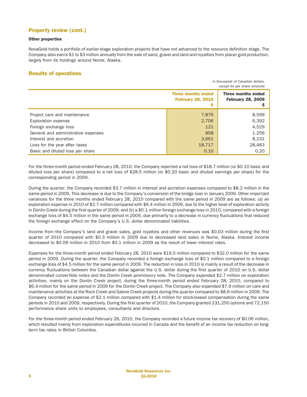# Property review (cont.)

#### Other properties

NovaGold holds a portfolio of earlier-stage exploration projects that have not advanced to the resource definition stage. The Company also earns \$1 to \$3 million annually from the sale of sand, gravel and land and royalties from placer gold production, largely from its holdings around Nome, Alaska.

## Results of operations

|                                     | in thousands of Canadian dollars.<br>except for per share amounts |                                                |  |
|-------------------------------------|-------------------------------------------------------------------|------------------------------------------------|--|
|                                     | <b>Three months ended</b><br><b>February 28, 2010</b>             | Three months ended<br><b>February 28, 2009</b> |  |
| Project care and maintenance        | 7,876                                                             | 8,599                                          |  |
| Exploration expense                 | 2,706                                                             | 6,392                                          |  |
| Foreign exchange loss               | 121                                                               | 4,529                                          |  |
| General and administrative expenses | 858                                                               | 1,256                                          |  |
| Interest and accretion              | 3,661                                                             | 8,231                                          |  |
| Loss for the year after taxes       | 18,717                                                            | 28,483                                         |  |
| Basic and diluted loss per share    | 0.10                                                              | 0.20                                           |  |

For the three-month period ended February 28, 2010, the Company reported a net loss of \$18.7 million (or \$0.10 basic and diluted loss per share) compared to a net loss of \$28.5 million (or \$0.20 basic and diluted earnings per share) for the corresponding period in 2009.

During the quarter, the Company recorded \$3.7 million in interest and accretion expenses compared to \$8.2 million in the same period in 2009. This decrease is due to the Company's conversion of the bridge loan in January 2009. Other important variances for the three months ended February 28, 2010 compared with the same period in 2009 are as follows: (a) an exploration expense in 2010 of \$2.7 million compared with \$6.4 million in 2009, due to the higher level of exploration activity in Donlin Creek during the first quarter of 2009; and (b) a \$0.1 million foreign exchange loss in 2010, compared with a foreign exchange loss of \$4.5 million in the same period in 2009, due primarily to a decrease in currency fluctuations that reduced the foreign exchange effect on the Company's U.S. dollar denominated liabilities.

Income from the Company's land and gravel sales, gold royalties and other revenues was \$0.03 million during the first quarter of 2010 compared with \$0.3 million in 2009 due to decreased land sales in Nome, Alaska. Interest income decreased to \$0.09 million in 2010 from \$0.1 million in 2009 as the result of lower interest rates.

Expenses for the three-month period ended February 28, 2010 were \$19.5 million compared to \$32.0 million for the same period in 2009. During the quarter, the Company recorded a foreign exchange loss of \$0.1 million compared to a foreign exchange loss of \$4.5 million for the same period in 2009. The reduction in loss in 2010 is mainly a result of the decrease in currency fluctuations between the Canadian dollar against the U.S. dollar during the first quarter of 2010 on U.S. dollar denominated convertible notes and the Donlin Creek promissory note. The Company expended \$2.7 million on exploration activities, mainly on the Donlin Creek project, during the three-month period ended February 28, 2010, compared to \$6.4 million for the same period in 2009 for the Donlin Creek project. The Company also expended \$7.9 million on care and maintenance activities at the Rock Creek and Galore Creek projects during the quarter compared to \$8.6 million in 2009. The Company recorded an expense of \$2.1 million compared with \$1.4 million for stock-based compensation during the same periods in 2010 and 2009, respectively. During the first quarter of 2010, the Company granted 231,250 options and 72,150 performance share units to employees, consultants and directors.

For the three-month period ended February 28, 2010, the Company recorded a future income tax recovery of \$0.06 million, which resulted mainly from exploration expenditures incurred in Canada and the benefit of an income tax reduction on longterm tax rates in British Columbia.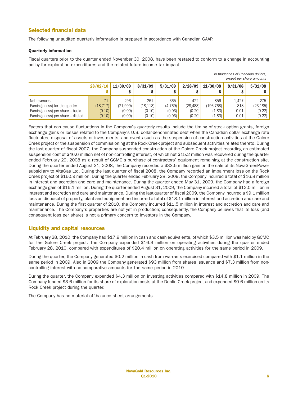# Selected financial data

The following unaudited quarterly information is prepared in accordance with Canadian GAAP.

#### Quarterly information

Fiscal quarters prior to the quarter ended November 30, 2008, have been restated to conform to a change in accounting policy for exploration expenditures and the related future income tax impact.

|                                     |           |          |           |         |           |           |         | except per share amounts |
|-------------------------------------|-----------|----------|-----------|---------|-----------|-----------|---------|--------------------------|
|                                     | 28/02/10  | 11/30/09 | 8/31/09   | 5/31/09 | 2/28/09   | 11/30/08  | 8/31/08 | 5/31/08                  |
|                                     |           |          |           |         |           |           |         |                          |
| Net revenues                        | 71        | 296      | 261       | 365     | 422       | 856       | 1.427   | 275                      |
| Earnings (loss) for the quarter     | (18, 717) | (21,999) | (18, 113) | (4,769) | (28, 483) | (196,768) | 818     | (23, 185)                |
| Earnings (loss) per share – basic   | (0.10)    | (0.09)   | (0.10)    | (0.03)  | (0.20)    | (1.83)    | 0.01    | (0.22)                   |
| Earnings (loss) per share - diluted | (0.10)    | (0.09)   | (0.10)    | (0.03)  | (0.20)    | (1.83)    | 0.01    | (0.22)                   |

Factors that can cause fluctuations in the Company's quarterly results include the timing of stock option grants, foreign exchange gains or losses related to the Company's U.S. dollar-denominated debt when the Canadian dollar exchange rate fluctuates, disposal of assets or investments, and events such as the suspension of construction activities at the Galore Creek project or the suspension of commissioning at the Rock Creek project and subsequent activities related thereto. During the last quarter of fiscal 2007, the Company suspended construction at the Galore Creek project recording an estimated suspension cost of \$46.6 million net of non-controlling interest, of which net \$15.2 million was recovered during the quarter ended February 29, 2008 as a result of GCMC's purchase of contractors' equipment remaining at the construction site. During the quarter ended August 31, 2008, the Company recorded a \$33.5 million gain on the sale of its NovaGreenPower subsidiary to AltaGas Ltd. During the last quarter of fiscal 2008, the Company recorded an impairment loss on the Rock Creek project of \$160.9 million. During the quarter ended February 28, 2009, the Company incurred a total of \$16.8 million in interest and accretion and care and maintenance. During the quarter ended May 31, 2009, the Company had a foreign exchange gain of \$16.1 million. During the quarter ended August 31, 2009, the Company incurred a total of \$12.0 million in interest and accretion and care and maintenance. During the last quarter of fiscal 2009, the Company incurred a \$9.1 million loss on disposal of property, plant and equipment and incurred a total of \$18.1 million in interest and accretion and care and maintenance. During the first quarter of 2010, the Company incurred \$11.5 million in interest and accretion and care and maintenance. The Company's properties are not yet in production; consequently, the Company believes that its loss (and consequent loss per share) is not a primary concern to investors in the Company.

# Liquidity and capital resources

At February 28, 2010, the Company had \$17.9 million in cash and cash equivalents, of which \$3.5 million was held by GCMC for the Galore Creek project. The Company expended \$16.3 million on operating activities during the quarter ended February 28, 2010, compared with expenditures of \$20.4 million on operating activities for the same period in 2009.

During the quarter, the Company generated \$0.2 million in cash from warrants exercised compared with \$1.1 million in the same period in 2009. Also in 2009 the Company generated \$93 million from shares issuance and \$7.3 million from noncontrolling interest with no comparative amounts for the same period in 2010.

During the quarter, the Company expended \$4.3 million on investing activities compared with \$14.8 million in 2009. The Company funded \$3.6 million for its share of exploration costs at the Donlin Creek project and expended \$0.6 million on its Rock Creek project during the quarter.

The Company has no material off-balance sheet arrangements.

*in thousands of Canadian dollars,*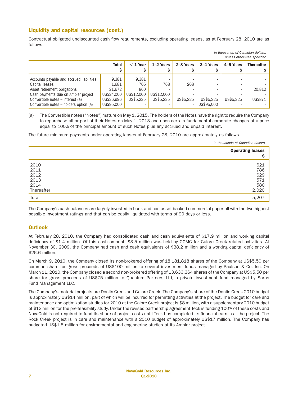# Liquidity and capital resources (cont.)

Contractual obligated undiscounted cash flow requirements, excluding operating leases, as at February 28, 2010 are as follows.

*in thousands of Canadian dollars,*

|                                                                                                                                                                                                                 |                                                                    |                                                     |                                |                  |                         |           | unless otherwise specified |
|-----------------------------------------------------------------------------------------------------------------------------------------------------------------------------------------------------------------|--------------------------------------------------------------------|-----------------------------------------------------|--------------------------------|------------------|-------------------------|-----------|----------------------------|
|                                                                                                                                                                                                                 | <b>Total</b><br>S                                                  | $<$ 1 Year                                          | 1-2 Years                      | 2-3 Years        | 3-4 Years               | 4-5 Years | <b>Thereafter</b>          |
| Accounts payable and accrued liabilities<br>Capital leases<br>Asset retirement obligations<br>Cash payments due on Ambler project<br>Convertible notes - interest (a)<br>Convertible notes – holders option (a) | 9,381<br>1.681<br>21.672<br>US\$24,000<br>US\$26,996<br>US\$95,000 | 9,381<br>705<br>860<br>US\$12,000<br>US\$5.225<br>- | 768<br>US\$12,000<br>US\$5.225 | 208<br>US\$5.225 | US\$5.225<br>US\$95,000 | US\$5.225 | 20,812<br>US\$871          |

(a) The Convertible notes ("Notes") mature on May 1, 2015. The holders of the Notes have the right to require the Company to repurchase all or part of their Notes on May 1, 2013 and upon certain fundamental corporate changes at a price equal to 100% of the principal amount of such Notes plus any accrued and unpaid interest.

The future minimum payments under operating leases at February 28, 2010 are approximately as follows.

|                                                    | in thousands of Canadian dollars         |
|----------------------------------------------------|------------------------------------------|
|                                                    | <b>Operating leases</b><br>Ş             |
| 2010<br>2011<br>2012<br>2013<br>2014<br>Thereafter | 621<br>786<br>629<br>571<br>580<br>2,020 |
| Total                                              | 5,207                                    |

The Company's cash balances are largely invested in bank and non-asset backed commercial paper all with the two highest possible investment ratings and that can be easily liquidated with terms of 90 days or less.

# **Outlook**

At February 28, 2010, the Company had consolidated cash and cash equivalents of \$17.9 million and working capital deficiency of \$1.4 million. Of this cash amount, \$3.5 million was held by GCMC for Galore Creek related activities. At November 30, 2009, the Company had cash and cash equivalents of \$38.2 million and a working capital deficiency of \$26.6 million.

On March 9, 2010, the Company closed its non-brokered offering of 18,181,818 shares of the Company at US\$5.50 per common share for gross proceeds of US\$100 million to several investment funds managed by Paulson & Co. Inc. On March 11, 2010, the Company closed a second non-brokered offering of 13,636,364 shares of the Company at US\$5.50 per share for gross proceeds of US\$75 million to Quantum Partners Ltd, a private investment fund managed by Soros Fund Management LLC.

The Company's material projects are Donlin Creek and Galore Creek. The Company's share of the Donlin Creek 2010 budget is approximately US\$14 million, part of which will be incurred for permitting activities at the project. The budget for care and maintenance and optimization studies for 2010 at the Galore Creek project is \$8 million, with a supplementary 2010 budget of \$12 million for the pre-feasibility study. Under the revised partnership agreement Teck is funding 100% of these costs and NovaGold is not required to fund its share of project costs until Teck has completed its financial earn-in at the project. The Rock Creek project is in care and maintenance with a 2010 budget of approximately US\$17 million. The Company has budgeted US\$1.5 million for environmental and engineering studies at its Ambler project.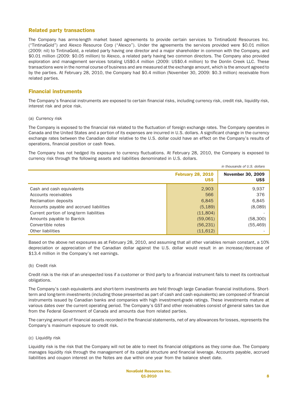## Related party transactions

The Company has arms-length market based agreements to provide certain services to TintinaGold Resources Inc. ("TintinaGold") and Alexco Resource Corp ("Alexco"). Under the agreements the services provided were \$0.01 million (2009: nil) to TintinaGold, a related party having one director and a major shareholder in common with the Company, and \$0.01 million (2009: \$0.05 million) to Alexco, a related party having two common directors. The Company also provided exploration and management services totaling US\$0.4 million (2009: US\$0.4 million) to the Donlin Creek LLC. These transactions were in the normal course of business and are measured at the exchange amount, which is the amount agreed to by the parties. At February 28, 2010, the Company had \$0.4 million (November 30, 2009: \$0.3 million) receivable from related parties.

# Financial instruments

The Company's financial instruments are exposed to certain financial risks, including currency risk, credit risk, liquidity risk, interest risk and price risk.

#### (a) Currency risk

The Company is exposed to the financial risk related to the fluctuation of foreign exchange rates. The Company operates in Canada and the United States and a portion of its expenses are incurred in U.S. dollars. A significant change in the currency exchange rates between the Canadian dollar relative to the U.S. dollar could have an effect on the Company's results of operations, financial position or cash flows.

The Company has not hedged its exposure to currency fluctuations. At February 28, 2010, the Company is exposed to currency risk through the following assets and liabilities denominated in U.S. dollars.

|                                          |                                  | in thousands of U.S. dollars     |
|------------------------------------------|----------------------------------|----------------------------------|
|                                          | <b>February 28, 2010</b><br>US\$ | <b>November 30, 2009</b><br>US\$ |
| Cash and cash equivalents                | 2,903                            | 9,937                            |
| Accounts receivables                     | 566                              | 376                              |
| Reclamation deposits                     | 6,845                            | 6,845                            |
| Accounts payable and accrued liabilities | (5, 189)                         | (8,089)                          |
| Current portion of long-term liabilities | (11,804)                         |                                  |
| Amounts payable to Barrick               | (59,061)                         | (58, 300)                        |
| Convertible notes                        | (56, 231)                        | (55, 469)                        |
| Other liabilities                        | (11, 612)                        |                                  |

Based on the above net exposures as at February 28, 2010, and assuming that all other variables remain constant, a 10% depreciation or appreciation of the Canadian dollar against the U.S. dollar would result in an increase/decrease of \$13.4 million in the Company's net earnings.

#### (b) Credit risk

Credit risk is the risk of an unexpected loss if a customer or third party to a financial instrument fails to meet its contractual obligations.

The Company's cash equivalents and short-term investments are held through large Canadian financial institutions. Shortterm and long-term investments (including those presented as part of cash and cash equivalents) are composed of financial instruments issued by Canadian banks and companies with high investment-grade ratings. These investments mature at various dates over the current operating period. The Company's GST and other receivables consist of general sales tax due from the Federal Government of Canada and amounts due from related parties.

The carrying amount of financial assets recorded in the financial statements, net of any allowances for losses, represents the Company's maximum exposure to credit risk.

#### (c) Liquidity risk

Liquidity risk is the risk that the Company will not be able to meet its financial obligations as they come due. The Company manages liquidity risk through the management of its capital structure and financial leverage. Accounts payable, accrued liabilities and coupon interest on the Notes are due within one year from the balance sheet date.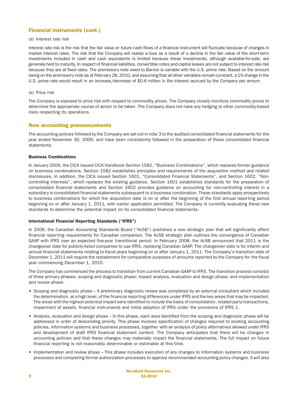# Financial instruments (cont.)

#### (d) Interest rate risk

Interest rate risk is the risk that the fair value or future cash flows of a financial instrument will fluctuate because of changes in market interest rates. The risk that the Company will realize a loss as a result of a decline in the fair value of the short-term investments included in cash and cash equivalents is limited because these investments, although available-for-sale, are generally held to maturity. In respect of financial liabilities, convertible notes and capital leases are not subject to interest rate risk because they are at fixed rates. The promissory note owed to Barrick is variable with the U.S. prime rate. Based on the amount owing on the promissory note as at February 28, 2010, and assuming that all other variables remain constant, a 1% change in the U.S. prime rate would result in an increase/decrease of \$0.6 million in the interest accrued by the Company per annum.

#### (e) Price risk

The Company is exposed to price risk with respect to commodity prices. The Company closely monitors commodity prices to determine the appropriate course of action to be taken. The Company does not have any hedging or other commodity-based risks respecting its operations.

## New accounting pronouncements

The accounting policies followed by the Company are set out in note 3 to the audited consolidated financial statements for the year ended November 30, 2009, and have been consistently followed in the preparation of these consolidated financial statements.

#### Business Combinations

In January 2009, the CICA issued CICA Handbook Section 1582, "Business Combinations", which replaces former guidance on business combinations. Section 1582 establishes principles and requirements of the acquisition method and related disclosures. In addition, the CICA issued Section 1601, "Consolidated Financial Statements", and Section 1602, "Noncontrolling Interests", which replaces the existing guidance. Section 1601 establishes standards for the preparation of consolidated financial statements and Section 1602 provides guidance on accounting for non-controlling interest in a subsidiary in consolidated financial statements subsequent to a business combination. These standards apply prospectively to business combinations for which the acquisition date is on or after the beginning of the first annual reporting period beginning on or after January 1, 2011, with earlier application permitted. The Company is currently evaluating these new standards to determine the potential impact on its consolidated financial statements.

#### International Financial Reporting Standards ("IFRS")

In 2006, the Canadian Accounting Standards Board ("AcSB") published a new strategic plan that will significantly affect financial reporting requirements for Canadian companies. The AcSB strategic plan outlines the convergence of Canadian GAAP with IFRS over an expected five-year transitional period. In February 2008, the AcSB announced that 2011 is the changeover date for publicly-listed companies to use IFRS, replacing Canadian GAAP. The changeover date is for interim and annual financial statements relating to fiscal years beginning on or after January 1, 2011. The Company's transition date of December 1, 2011 will require the restatement for comparative purposes of amounts reported by the Company for the fiscal year commencing December 1, 2010.

The Company has commenced the process to transition from current Canadian GAAP to IFRS. The transition process consists of three primary phases: scoping and diagnostic phase; impact analysis, evaluation and design phase; and implementation and review phase.

- Scoping and diagnostic phase A preliminary diagnostic review was completed by an external consultant which included the determination, at a high level, of the financial reporting differences under IFRS and the key areas that may be impacted. The areas with the highest potential impact were identified to include the basis of consolidation, related party transactions, impairment of assets, financial instruments and initial adoption of IFRS under the provisions of IFRS 1.
- Analysis, evaluation and design phase In this phase, each area identified from the scoping and diagnostic phase will be addressed in order of descending priority. This phase involves specification of changes required to existing accounting policies, information systems and business processes, together with an analysis of policy alternatives allowed under IFRS and development of draft IFRS financial statement content. The Company anticipates that there will be changes in accounting policies and that these changes may materially impact the financial statements. The full impact on future financial reporting is not reasonably determinable or estimable at this time.
- Implementation and review phase This phase includes execution of any changes to information systems and business processes and completing formal authorization processes to approve recommended accounting policy changes. It will also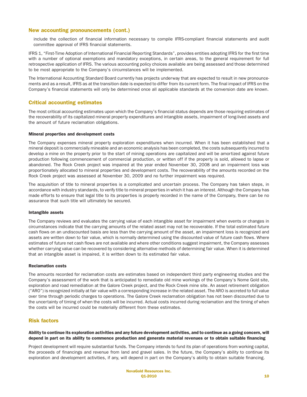## New accounting pronouncements (cont.)

include the collection of financial information necessary to compile IFRS-compliant financial statements and audit committee approval of IFRS financial statements.

IFRS 1, "First-Time Adoption of International Financial Reporting Standards", provides entities adopting IFRS for the first time with a number of optional exemptions and mandatory exceptions, in certain areas, to the general requirement for full retrospective application of IFRS. The various accounting policy choices available are being assessed and those determined to be most appropriate to the Company's circumstances will be implemented.

The International Accounting Standard Board currently has projects underway that are expected to result in new pronouncements and as a result, IFRS as at the transition date is expected to differ from its current form. The final impact of IFRS on the Company's financial statements will only be determined once all applicable standards at the conversion date are known.

### Critical accounting estimates

The most critical accounting estimates upon which the Company's financial status depends are those requiring estimates of the recoverability of its capitalized mineral property expenditures and intangible assets, impairment of long-lived assets and the amount of future reclamation obligations.

#### Mineral properties and development costs

The Company expenses mineral property exploration expenditures when incurred. When it has been established that a mineral deposit is commercially mineable and an economic analysis has been completed, the costs subsequently incurred to develop a mine on the property prior to the start of mining operations are capitalized and will be amortized against future production following commencement of commercial production, or written off if the property is sold, allowed to lapse or abandoned. The Rock Creek project was impaired at the year ended November 30, 2008 and an impairment loss was proportionately allocated to mineral properties and development costs. The recoverability of the amounts recorded on the Rock Creek project was assessed at November 30, 2009 and no further impairment was required.

The acquisition of title to mineral properties is a complicated and uncertain process. The Company has taken steps, in accordance with industry standards, to verify title to mineral properties in which it has an interest. Although the Company has made efforts to ensure that legal title to its properties is properly recorded in the name of the Company, there can be no assurance that such title will ultimately be secured.

#### Intangible assets

The Company reviews and evaluates the carrying value of each intangible asset for impairment when events or changes in circumstances indicate that the carrying amounts of the related asset may not be recoverable. If the total estimated future cash flows on an undiscounted basis are less than the carrying amount of the asset, an impairment loss is recognized and assets are written down to fair value, which is normally determined using the discounted value of future cash flows. Where estimates of future net cash flows are not available and where other conditions suggest impairment, the Company assesses whether carrying value can be recovered by considering alternative methods of determining fair value. When it is determined that an intangible asset is impaired, it is written down to its estimated fair value.

#### Reclamation costs

The amounts recorded for reclamation costs are estimates based on independent third party engineering studies and the Company's assessment of the work that is anticipated to remediate old mine workings of the Company's Nome Gold site, exploration and road remediation at the Galore Creek project, and the Rock Creek mine site. An asset retirement obligation ("ARO") is recognized initially at fair value with a corresponding increase in the related asset. The ARO is accreted to full value over time through periodic charges to operations. The Galore Creek reclamation obligation has not been discounted due to the uncertainty of timing of when the costs will be incurred. Actual costs incurred during reclamation and the timing of when the costs will be incurred could be materially different from these estimates.

## Risk factors

#### Ability to continue its exploration activities and any future development activities, and to continue as a going concern, will depend in part on its ability to commence production and generate material revenues or to obtain suitable financing

Project development will require substantial funds. The Company intends to fund its plan of operations from working capital, the proceeds of financings and revenue from land and gravel sales. In the future, the Company's ability to continue its exploration and development activities, if any, will depend in part on the Company's ability to obtain suitable financing.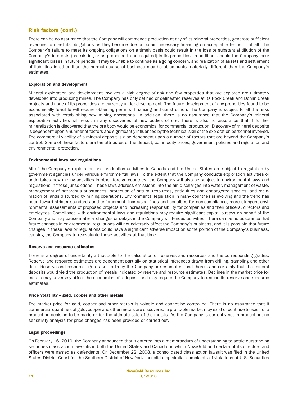# Risk factors (cont.)

There can be no assurance that the Company will commence production at any of its mineral properties, generate sufficient revenues to meet its obligations as they become due or obtain necessary financing on acceptable terms, if at all. The Company's failure to meet its ongoing obligations on a timely basis could result in the loss or substantial dilution of the Company's interests (as existing or as proposed to be acquired) in its properties. In addition, should the Company incur significant losses in future periods, it may be unable to continue as a going concern, and realization of assets and settlement of liabilities in other than the normal course of business may be at amounts materially different than the Company's estimates.

#### Exploration and development

Mineral exploration and development involves a high degree of risk and few properties that are explored are ultimately developed into producing mines. The Company has only defined or delineated reserves at its Rock Creek and Donlin Creek projects and none of its properties are currently under development. The future development of any properties found to be economically feasible will require obtaining permits, financing and construction. The Company is subject to all the risks associated with establishing new mining operations. In addition, there is no assurance that the Company's mineral exploration activities will result in any discoveries of new bodies of ore. There is also no assurance that if further mineralization is discovered that the ore body would be economical for commercial production. Discovery of mineral deposits is dependent upon a number of factors and significantly influenced by the technical skill of the exploration personnel involved. The commercial viability of a mineral deposit is also dependent upon a number of factors that are beyond the Company's control. Some of these factors are the attributes of the deposit, commodity prices, government policies and regulation and environmental protection.

#### Environmental laws and regulations

All of the Company's exploration and production activities in Canada and the United States are subject to regulation by government agencies under various environmental laws. To the extent that the Company conducts exploration activities or undertakes new mining activities in other foreign countries, the Company will also be subject to environmental laws and regulations in those jurisdictions. These laws address emissions into the air, discharges into water, management of waste, management of hazardous substances, protection of natural resources, antiquities and endangered species, and reclamation of lands disturbed by mining operations. Environmental legislation in many countries is evolving and the trend has been toward stricter standards and enforcement, increased fines and penalties for non-compliance, more stringent environmental assessments of proposed projects and increasing responsibility for companies and their officers, directors and employees. Compliance with environmental laws and regulations may require significant capital outlays on behalf of the Company and may cause material changes or delays in the Company's intended activities. There can be no assurance that future changes in environmental regulations will not adversely affect the Company's business, and it is possible that future changes in these laws or regulations could have a significant adverse impact on some portion of the Company's business, causing the Company to re-evaluate those activities at that time.

#### Reserve and resource estimates

There is a degree of uncertainty attributable to the calculation of reserves and resources and the corresponding grades. Reserve and resource estimates are dependent partially on statistical inferences drawn from drilling, sampling and other data. Reserve and resource figures set forth by the Company are estimates, and there is no certainty that the mineral deposits would yield the production of metals indicated by reserve and resource estimates. Declines in the market price for metals may adversely affect the economics of a deposit and may require the Company to reduce its reserve and resource estimates.

#### Price volatility – gold, copper and other metals

The market price for gold, copper and other metals is volatile and cannot be controlled. There is no assurance that if commercial quantities of gold, copper and other metals are discovered, a profitable market may exist or continue to exist for a production decision to be made or for the ultimate sale of the metals. As the Company is currently not in production, no sensitivity analysis for price changes has been provided or carried out.

#### Legal proceedings

On February 16, 2010, the Company announced that it entered into a memorandum of understanding to settle outstanding securities class action lawsuits in both the United States and Canada, in which NovaGold and certain of its directors and officers were named as defendants. On December 22, 2008, a consolidated class action lawsuit was filed in the United States District Court for the Southern District of New York consolidating similar complaints of violations of U.S. Securities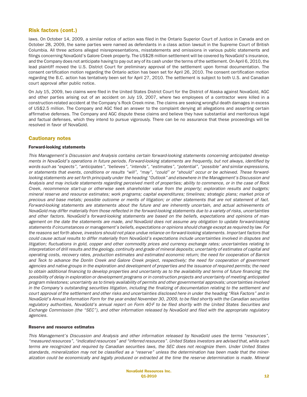# Risk factors (cont.)

laws. On October 14, 2009, a similar notice of action was filed in the Ontario Superior Court of Justice in Canada and on October 28, 2009, the same parties were named as defendants in a class action lawsuit in the Supreme Court of British Columbia. All three actions alleged misrepresentations, misstatements and omissions in various public statements and filings concerning NovaGold's Galore Creek property. The US\$28 million settlement will be covered by NovaGold's insurance, and the Company does not anticipate having to pay out any of its cash under the terms of the settlement. On April 6, 2010, the lead plaintiff moved the U.S. District Court for preliminary approval of the settlement upon formal documentation. The consent certification motion regarding the Ontario action has been set for April 26, 2010. The consent certification motion regarding the B.C. action has tentatively been set for April 27, 2010. The settlement is subject to both U.S. and Canadian court approval after public notice.

On July 15, 2009, two claims were filed in the United States District Court for the District of Alaska against NovaGold, AGC and other parties arising out of an accident on July 19, 2007, where two employees of a contractor were killed in a construction-related accident at the Company's Rock Creek mine. The claims are seeking wrongful death damages in excess of US\$2.5 million. The Company and AGC filed an answer to the complaint denying all allegations and asserting certain affirmative defenses. The Company and AGC dispute these claims and believe they have substantial and meritorious legal and factual defenses, which they intend to pursue vigorously. There can be no assurance that these proceedings will be resolved in favor of NovaGold.

# Cautionary notes

#### Forward-looking statements

*This Management's Discussion and Analysis contains cer tain forward-looking statements concerning anticipated developments in NovaGold's operations in future periods. Forward-looking statements are frequently, but not always, identified by words such as "expects", "anticipates", "believes", "intends", "estimates", "potential", "possible" and similar expressions, or statements that events, conditions or results "will", "may", "could" or "should" occur or be achieved. These forward*looking statements are set forth principally under the heading "Outlook" and elsewhere in the Management's Discussion and *Analysis and may include statements regarding perceived merit of proper ties; ability to commence, or in the case of Rock Creek, recommence start-up or otherwise seek shareholder value from the property; exploration results and budgets; mineral reserve and resource estimates; work programs; capital expenditures; timelines; strategic plans; market price of precious and base metals; possible outcome or merits of litigation; or other statements that are not statement of fact. Forward-looking statements are statements about the future and are inherently uncer tain, and actual achievements of NovaGold may differ materially from those reflected in the forward-looking statements due to a variety of risks, uncertainties and other factors. NovaGold's forward-looking statements are based on the beliefs, expectations and opinions of management on the date the statements are made, and NovaGold does not assume any obligation to update forward-looking statements if circumstances or management's beliefs, expectations or opinions should change except as required by law. For the reasons set for th above, investors should not place undue reliance on forward-looking statements. Impor tant factors that could cause actual results to differ materially from NovaGold's expectations include uncer tainties involved in disputes and litigation; fluctuations in gold, copper and other commodity prices and currency exchange rates; uncer tainties relating to interpretation of drill results and the geology, continuity and grade of mineral deposits; uncer tainty of estimates of capital and operating costs, recovery rates, production estimates and estimated economic return; the need for cooperation of Barrick and Teck to advance the Donlin Creek and Galore Creek project, respectively; the need for cooperation of government agencies and native groups in the exploration and development of proper ties and the issuance of required permits; the need to obtain additional financing to develop proper ties and uncer tainty as to the availability and terms of future financing; the possibility of delay in exploration or development programs or in construction projects and uncer tainty of meeting anticipated program milestones; uncer tainty as to timely availability of permits and other governmental approvals; uncer tainties involved in the Company's outstanding securities litigation, including the finalizing of documentation relating to the settlement and cour t approval of the settlement and other risks and uncer tainties disclosed here in under the heading "Risk Factors" and in NovaGold's Annual Information Form for the year ended November 30, 2009, to be filed shor tly with the Canadian securities* regulatory authorities, NovaGold's annual report on Form 40-F to be filed shortly with the United States Securities and *Exchange Commission (the "SEC"), and other information released by NovaGold and filed with the appropriate regulatory agencies.*

#### Reserve and resource estimates

*This Management's Discussion and Analysis and other information released by NovaGold uses the terms "resources", "measured resources", "indicated resources" and "inferred resources". United States investors are advised that, while such terms are recognized and required by Canadian securities laws, the SEC does not recognize them. Under United States standards, mineralization may not be classified as a "reserve" unless the determination has been made that the mineralization could be economically and legally produced or extracted at the time the reserve determination is made. Mineral*

> NovaGold Resources Inc. **01-2010** 12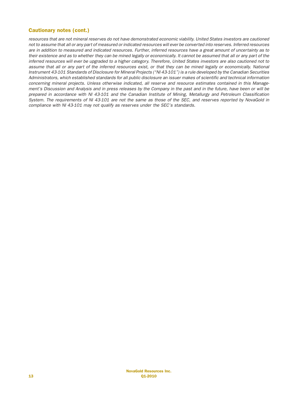# Cautionary notes (cont.)

*resources that are not mineral reserves do not have demonstrated economic viability. United States investors are cautioned not to assume that all or any par t of measured or indicated resources will ever be conver ted into reserves. Inferred resources are in addition to measured and indicated resources. Fur ther, inferred resources have a great amount of uncer tainty as to* their existence and as to whether they can be mined legally or economically. It cannot be assumed that all or any part of the *inferred resources will ever be upgraded to a higher category. Therefore, United States investors are also cautioned not to* assume that all or any part of the inferred resources exist, or that they can be mined legally or economically. National *Instrument 43-101 Standards of Disclosure for Mineral Projects ("NI 43-101") is a rule developed by the Canadian Securities Administrators, which established standards for all public disclosure an issuer makes of scientific and technical information concerning mineral projects. Unless otherwise indicated, all reserve and resource estimates contained in this Management's Discussion and Analysis and in press releases by the Company in the past and in the future, have been or will be prepared in accordance with NI 43-101 and the Canadian Institute of Mining, Metallurgy and Petroleum Classification* System. The requirements of NI 43-101 are not the same as those of the SEC, and reserves reported by NovaGold in *compliance with NI 43-101 may not qualify as reserves under the SEC's standards.*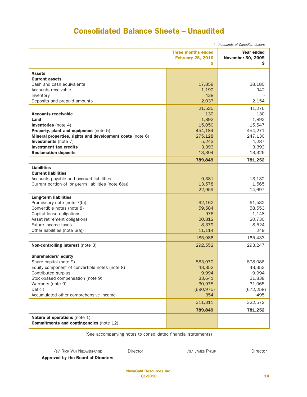# Consolidated Balance Sheets – Unaudited

|                                                                                 | in thousands of Canadian dollars                           |                                             |  |  |
|---------------------------------------------------------------------------------|------------------------------------------------------------|---------------------------------------------|--|--|
|                                                                                 | <b>Three months ended</b><br><b>February 28, 2010</b><br>s | Year ended<br><b>November 30, 2009</b><br>s |  |  |
|                                                                                 |                                                            |                                             |  |  |
| <b>Assets</b>                                                                   |                                                            |                                             |  |  |
| <b>Current assets</b>                                                           |                                                            |                                             |  |  |
| Cash and cash equivalents                                                       | 17,858                                                     | 38,180                                      |  |  |
| Accounts receivable                                                             | 1,192<br>438                                               | 942                                         |  |  |
| Inventory<br>Deposits and prepaid amounts                                       | 2,037                                                      | 2,154                                       |  |  |
|                                                                                 |                                                            |                                             |  |  |
|                                                                                 | 21,525                                                     | 41,276                                      |  |  |
| <b>Accounts receivable</b>                                                      | 130                                                        | 130                                         |  |  |
| Land                                                                            | 1,892                                                      | 1,892                                       |  |  |
| <b>Inventories</b> (note 4)                                                     | 15,050                                                     | 15,547                                      |  |  |
| Property, plant and equipment (note 5)                                          | 454,184                                                    | 454,271                                     |  |  |
| Mineral properties, rights and development costs (note 6)                       | 275,128                                                    | 247,130                                     |  |  |
| <b>Investments</b> (note 7)                                                     | 5,243                                                      | 4,287                                       |  |  |
| <b>Investment tax credits</b>                                                   | 3,393                                                      | 3,393                                       |  |  |
| <b>Reclamation deposits</b>                                                     | 13,304                                                     | 13,326                                      |  |  |
|                                                                                 | 789,849                                                    | 781,252                                     |  |  |
| <b>Liabilities</b>                                                              |                                                            |                                             |  |  |
| <b>Current liabilities</b>                                                      |                                                            |                                             |  |  |
| Accounts payable and accrued liabilities                                        | 9,381                                                      | 13,132                                      |  |  |
| Current portion of long-term liabilities (note 6(a))                            | 13,578                                                     | 1,565                                       |  |  |
|                                                                                 | 22,959                                                     | 14,697                                      |  |  |
| <b>Long-term liabilities</b>                                                    |                                                            |                                             |  |  |
| Promissory note (note 7(b))                                                     | 62,162                                                     | 61,532                                      |  |  |
| Convertible notes (note 8)                                                      | 59,584                                                     | 58,553                                      |  |  |
| Capital lease obligations                                                       | 976                                                        | 1,148                                       |  |  |
| Asset retirement obligations                                                    | 20,812                                                     | 20,730                                      |  |  |
| Future income taxes                                                             | 8,379                                                      | 8,524                                       |  |  |
| Other liabilities (note 6(a))                                                   | 11,114                                                     | 249                                         |  |  |
|                                                                                 | 185,986                                                    | 165,433                                     |  |  |
| <b>Non-controlling interest</b> (note 3)                                        | 292,552                                                    | 293,247                                     |  |  |
| <b>Shareholders' equity</b>                                                     |                                                            |                                             |  |  |
| Share capital (note 9)                                                          | 883,970                                                    | 878,086                                     |  |  |
| Equity component of convertible notes (note 8)                                  | 43,352                                                     | 43,352                                      |  |  |
| Contributed surplus                                                             | 9,994                                                      | 9,994                                       |  |  |
| Stock-based compensation (note 9)                                               | 33,641                                                     | 31,838                                      |  |  |
| Warrants (note 9)                                                               | 30,975                                                     | 31,065                                      |  |  |
| Deficit                                                                         | (690, 975)                                                 | (672, 258)                                  |  |  |
| Accumulated other comprehensive income                                          | 354                                                        | 495                                         |  |  |
|                                                                                 | 311,311                                                    | 322,572                                     |  |  |
|                                                                                 | 789,849                                                    | 781,252                                     |  |  |
|                                                                                 |                                                            |                                             |  |  |
| Nature of operations (note 1)<br><b>Commitments and contingencies (note 12)</b> |                                                            |                                             |  |  |
|                                                                                 |                                                            |                                             |  |  |

(See accompanying notes to consolidated financial statements)

/S/ RICK VAN NIEUWENHUYSE Director /S/ JAMES PHILIP Director

Approved by the Board of Directors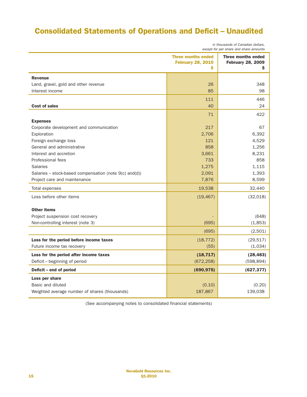# Consolidated Statements of Operations and Deficit – Unaudited

|                                        |  |  | in thousands of Canadian dollars, |  |
|----------------------------------------|--|--|-----------------------------------|--|
| except for per share and share amounts |  |  |                                   |  |

| <b>Three months ended</b><br><b>Three months ended</b><br><b>February 28, 2010</b><br><b>February 28, 2009</b><br>s<br>S<br><b>Revenue</b><br>348<br>Land, gravel, gold and other revenue<br>26<br>85<br>98<br>Interest income<br>446<br>111<br>40<br><b>Cost of sales</b><br>24<br>422<br>71<br><b>Expenses</b><br>217<br>67<br>Corporate development and communication<br>2,706<br>6,392<br>Exploration<br>4,529<br>121<br>Foreign exchange loss<br>General and administrative<br>858<br>1,256<br>Interest and accretion<br>3,661<br>8,231<br>858<br><b>Professional fees</b><br>733<br>1,275<br><b>Salaries</b><br>1,115<br>2,091<br>1,393<br>Salaries – stock-based compensation (note $9(c)$ and(d))<br>7,876<br>Project care and maintenance<br>8,599<br>19,538<br>32,440<br>Total expenses<br>Loss before other items<br>(19, 467)<br>(32,018)<br><b>Other items</b><br>Project suspension cost recovery<br>(648)<br>Non-controlling interest (note 3)<br>(695)<br>(1,853)<br>(695)<br>(2,501)<br>(18, 772)<br>(29, 517)<br>Loss for the period before income taxes<br>(1,034)<br>Future income tax recovery<br>(55)<br>(18, 717)<br>(28, 483)<br>Loss for the period after income taxes<br>Deficit - beginning of period<br>(672, 258)<br>(598, 894)<br>Deficit - end of period<br>(690, 975)<br>(627, 377)<br>Loss per share<br>Basic and diluted<br>(0.20)<br>(0.10) |                                               |         |         |  |
|--------------------------------------------------------------------------------------------------------------------------------------------------------------------------------------------------------------------------------------------------------------------------------------------------------------------------------------------------------------------------------------------------------------------------------------------------------------------------------------------------------------------------------------------------------------------------------------------------------------------------------------------------------------------------------------------------------------------------------------------------------------------------------------------------------------------------------------------------------------------------------------------------------------------------------------------------------------------------------------------------------------------------------------------------------------------------------------------------------------------------------------------------------------------------------------------------------------------------------------------------------------------------------------------------------------------------------------------------------------------------------|-----------------------------------------------|---------|---------|--|
|                                                                                                                                                                                                                                                                                                                                                                                                                                                                                                                                                                                                                                                                                                                                                                                                                                                                                                                                                                                                                                                                                                                                                                                                                                                                                                                                                                                |                                               |         |         |  |
|                                                                                                                                                                                                                                                                                                                                                                                                                                                                                                                                                                                                                                                                                                                                                                                                                                                                                                                                                                                                                                                                                                                                                                                                                                                                                                                                                                                |                                               |         |         |  |
|                                                                                                                                                                                                                                                                                                                                                                                                                                                                                                                                                                                                                                                                                                                                                                                                                                                                                                                                                                                                                                                                                                                                                                                                                                                                                                                                                                                |                                               |         |         |  |
|                                                                                                                                                                                                                                                                                                                                                                                                                                                                                                                                                                                                                                                                                                                                                                                                                                                                                                                                                                                                                                                                                                                                                                                                                                                                                                                                                                                |                                               |         |         |  |
|                                                                                                                                                                                                                                                                                                                                                                                                                                                                                                                                                                                                                                                                                                                                                                                                                                                                                                                                                                                                                                                                                                                                                                                                                                                                                                                                                                                |                                               |         |         |  |
|                                                                                                                                                                                                                                                                                                                                                                                                                                                                                                                                                                                                                                                                                                                                                                                                                                                                                                                                                                                                                                                                                                                                                                                                                                                                                                                                                                                |                                               |         |         |  |
|                                                                                                                                                                                                                                                                                                                                                                                                                                                                                                                                                                                                                                                                                                                                                                                                                                                                                                                                                                                                                                                                                                                                                                                                                                                                                                                                                                                |                                               |         |         |  |
|                                                                                                                                                                                                                                                                                                                                                                                                                                                                                                                                                                                                                                                                                                                                                                                                                                                                                                                                                                                                                                                                                                                                                                                                                                                                                                                                                                                |                                               |         |         |  |
|                                                                                                                                                                                                                                                                                                                                                                                                                                                                                                                                                                                                                                                                                                                                                                                                                                                                                                                                                                                                                                                                                                                                                                                                                                                                                                                                                                                |                                               |         |         |  |
|                                                                                                                                                                                                                                                                                                                                                                                                                                                                                                                                                                                                                                                                                                                                                                                                                                                                                                                                                                                                                                                                                                                                                                                                                                                                                                                                                                                |                                               |         |         |  |
|                                                                                                                                                                                                                                                                                                                                                                                                                                                                                                                                                                                                                                                                                                                                                                                                                                                                                                                                                                                                                                                                                                                                                                                                                                                                                                                                                                                |                                               |         |         |  |
|                                                                                                                                                                                                                                                                                                                                                                                                                                                                                                                                                                                                                                                                                                                                                                                                                                                                                                                                                                                                                                                                                                                                                                                                                                                                                                                                                                                |                                               |         |         |  |
|                                                                                                                                                                                                                                                                                                                                                                                                                                                                                                                                                                                                                                                                                                                                                                                                                                                                                                                                                                                                                                                                                                                                                                                                                                                                                                                                                                                |                                               |         |         |  |
|                                                                                                                                                                                                                                                                                                                                                                                                                                                                                                                                                                                                                                                                                                                                                                                                                                                                                                                                                                                                                                                                                                                                                                                                                                                                                                                                                                                |                                               |         |         |  |
|                                                                                                                                                                                                                                                                                                                                                                                                                                                                                                                                                                                                                                                                                                                                                                                                                                                                                                                                                                                                                                                                                                                                                                                                                                                                                                                                                                                |                                               |         |         |  |
|                                                                                                                                                                                                                                                                                                                                                                                                                                                                                                                                                                                                                                                                                                                                                                                                                                                                                                                                                                                                                                                                                                                                                                                                                                                                                                                                                                                |                                               |         |         |  |
|                                                                                                                                                                                                                                                                                                                                                                                                                                                                                                                                                                                                                                                                                                                                                                                                                                                                                                                                                                                                                                                                                                                                                                                                                                                                                                                                                                                |                                               |         |         |  |
|                                                                                                                                                                                                                                                                                                                                                                                                                                                                                                                                                                                                                                                                                                                                                                                                                                                                                                                                                                                                                                                                                                                                                                                                                                                                                                                                                                                |                                               |         |         |  |
|                                                                                                                                                                                                                                                                                                                                                                                                                                                                                                                                                                                                                                                                                                                                                                                                                                                                                                                                                                                                                                                                                                                                                                                                                                                                                                                                                                                |                                               |         |         |  |
|                                                                                                                                                                                                                                                                                                                                                                                                                                                                                                                                                                                                                                                                                                                                                                                                                                                                                                                                                                                                                                                                                                                                                                                                                                                                                                                                                                                |                                               |         |         |  |
|                                                                                                                                                                                                                                                                                                                                                                                                                                                                                                                                                                                                                                                                                                                                                                                                                                                                                                                                                                                                                                                                                                                                                                                                                                                                                                                                                                                |                                               |         |         |  |
|                                                                                                                                                                                                                                                                                                                                                                                                                                                                                                                                                                                                                                                                                                                                                                                                                                                                                                                                                                                                                                                                                                                                                                                                                                                                                                                                                                                |                                               |         |         |  |
|                                                                                                                                                                                                                                                                                                                                                                                                                                                                                                                                                                                                                                                                                                                                                                                                                                                                                                                                                                                                                                                                                                                                                                                                                                                                                                                                                                                |                                               |         |         |  |
|                                                                                                                                                                                                                                                                                                                                                                                                                                                                                                                                                                                                                                                                                                                                                                                                                                                                                                                                                                                                                                                                                                                                                                                                                                                                                                                                                                                |                                               |         |         |  |
|                                                                                                                                                                                                                                                                                                                                                                                                                                                                                                                                                                                                                                                                                                                                                                                                                                                                                                                                                                                                                                                                                                                                                                                                                                                                                                                                                                                |                                               |         |         |  |
|                                                                                                                                                                                                                                                                                                                                                                                                                                                                                                                                                                                                                                                                                                                                                                                                                                                                                                                                                                                                                                                                                                                                                                                                                                                                                                                                                                                |                                               |         |         |  |
|                                                                                                                                                                                                                                                                                                                                                                                                                                                                                                                                                                                                                                                                                                                                                                                                                                                                                                                                                                                                                                                                                                                                                                                                                                                                                                                                                                                |                                               |         |         |  |
|                                                                                                                                                                                                                                                                                                                                                                                                                                                                                                                                                                                                                                                                                                                                                                                                                                                                                                                                                                                                                                                                                                                                                                                                                                                                                                                                                                                |                                               |         |         |  |
|                                                                                                                                                                                                                                                                                                                                                                                                                                                                                                                                                                                                                                                                                                                                                                                                                                                                                                                                                                                                                                                                                                                                                                                                                                                                                                                                                                                |                                               |         |         |  |
|                                                                                                                                                                                                                                                                                                                                                                                                                                                                                                                                                                                                                                                                                                                                                                                                                                                                                                                                                                                                                                                                                                                                                                                                                                                                                                                                                                                |                                               |         |         |  |
|                                                                                                                                                                                                                                                                                                                                                                                                                                                                                                                                                                                                                                                                                                                                                                                                                                                                                                                                                                                                                                                                                                                                                                                                                                                                                                                                                                                |                                               |         |         |  |
|                                                                                                                                                                                                                                                                                                                                                                                                                                                                                                                                                                                                                                                                                                                                                                                                                                                                                                                                                                                                                                                                                                                                                                                                                                                                                                                                                                                |                                               |         |         |  |
|                                                                                                                                                                                                                                                                                                                                                                                                                                                                                                                                                                                                                                                                                                                                                                                                                                                                                                                                                                                                                                                                                                                                                                                                                                                                                                                                                                                | Weighted average number of shares (thousands) | 187,867 | 139,038 |  |

(See accompanying notes to consolidated financial statements)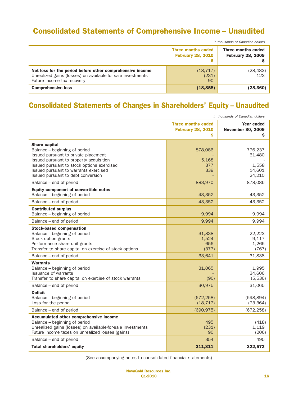# Consolidated Statements of Comprehensive Income – Unaudited

|                                                                                                                                                        | in thousands of Canadian dollars                                                                        |                  |  |
|--------------------------------------------------------------------------------------------------------------------------------------------------------|---------------------------------------------------------------------------------------------------------|------------------|--|
|                                                                                                                                                        | <b>Three months ended</b><br>Three months ended<br><b>February 28, 2009</b><br><b>February 28, 2010</b> |                  |  |
| Net loss for the period before other comprehensive income<br>Unrealized gains (losses) on available-for-sale investments<br>Future income tax recovery | (18, 717)<br>(231)<br>90                                                                                | (28, 483)<br>123 |  |
| <b>Comprehensive loss</b>                                                                                                                              | (18, 858)                                                                                               | (28,360)         |  |

# Consolidated Statements of Changes in Shareholders' Equity – Unaudited

| in thousands of Canadian dollars                                                                                                                                                                                                                                                                 |                                                            |                                                           |
|--------------------------------------------------------------------------------------------------------------------------------------------------------------------------------------------------------------------------------------------------------------------------------------------------|------------------------------------------------------------|-----------------------------------------------------------|
|                                                                                                                                                                                                                                                                                                  | <b>Three months ended</b><br><b>February 28, 2010</b><br>Ś | Year ended<br><b>November 30, 2009</b><br>S               |
| <b>Share capital</b><br>Balance - beginning of period<br>Issued pursuant to private placement<br>Issued pursuant to property acquisition<br>Issued pursuant to stock options exercised<br>Issued pursuant to warrants exercised<br>Issued pursuant to debt conversion<br>Balance - end of period | 878,086<br>5,168<br>377<br>339<br>883,970                  | 776,237<br>61,480<br>1,558<br>14,601<br>24,210<br>878,086 |
| <b>Equity component of convertible notes</b><br>Balance - beginning of period                                                                                                                                                                                                                    | 43,352                                                     | 43,352                                                    |
| Balance - end of period<br><b>Contributed surplus</b><br>Balance - beginning of period                                                                                                                                                                                                           | 43,352<br>9,994                                            | 43,352<br>9,994                                           |
| Balance - end of period                                                                                                                                                                                                                                                                          | 9,994                                                      | 9,994                                                     |
| <b>Stock-based compensation</b><br>Balance - beginning of period<br>Stock option grants<br>Performance share unit grants<br>Transfer to share capital on exercise of stock options                                                                                                               | 31,838<br>1,524<br>656<br>(377)                            | 22,223<br>9,117<br>1,265<br>(767)                         |
| Balance - end of period                                                                                                                                                                                                                                                                          | 33,641                                                     | 31,838                                                    |
| <b>Warrants</b><br>Balance – beginning of period<br>Issuance of warrants<br>Transfer to share capital on exercise of stock warrants                                                                                                                                                              | 31,065<br>(90)                                             | 1.995<br>34,606<br>(5,536)                                |
| Balance - end of period                                                                                                                                                                                                                                                                          | 30,975                                                     | 31,065                                                    |
| <b>Deficit</b><br>Balance - beginning of period<br>Loss for the period                                                                                                                                                                                                                           | (672, 258)<br>(18, 717)                                    | (598, 894)<br>(73, 364)                                   |
| Balance - end of period                                                                                                                                                                                                                                                                          | (690, 975)                                                 | (672, 258)                                                |
| Accumulated other comprehensive income<br>Balance - beginning of period<br>Unrealized gains (losses) on available-for-sale investments<br>Future income taxes on unrealized losses (gains)                                                                                                       | 495<br>(231)<br>90                                         | (418)<br>1,119<br>(206)                                   |
| Balance - end of period                                                                                                                                                                                                                                                                          | 354                                                        | 495                                                       |
| Total shareholders' equity                                                                                                                                                                                                                                                                       | 311,311                                                    | 322,572                                                   |

(See accompanying notes to consolidated financial statements)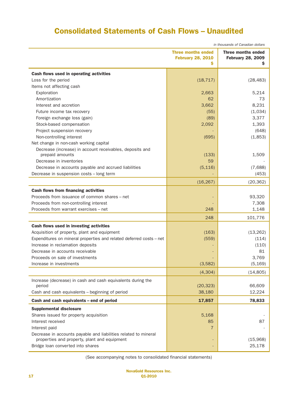# Consolidated Statements of Cash Flows – Unaudited

| in thousands of Canadian dollars                                    |                                                            |                                                            |
|---------------------------------------------------------------------|------------------------------------------------------------|------------------------------------------------------------|
|                                                                     | <b>Three months ended</b><br><b>February 28, 2010</b><br>s | <b>Three months ended</b><br><b>February 28, 2009</b><br>Ş |
| Cash flows used in operating activities                             |                                                            |                                                            |
| Loss for the period                                                 | (18, 717)                                                  | (28, 483)                                                  |
| Items not affecting cash                                            |                                                            |                                                            |
| Exploration                                                         | 2,663                                                      | 5,214                                                      |
| Amortization                                                        | 62                                                         | 73                                                         |
| Interest and accretion                                              | 3,662                                                      | 8,231                                                      |
| Future income tax recovery                                          | (55)                                                       | (1,034)                                                    |
| Foreign exchange loss (gain)                                        | (89)                                                       | 3,377                                                      |
| Stock-based compensation                                            | 2,092                                                      | 1,393                                                      |
| Project suspension recovery                                         |                                                            | (648)                                                      |
| Non-controlling interest                                            | (695)                                                      | (1,853)                                                    |
| Net change in non-cash working capital                              |                                                            |                                                            |
| Decrease (increase) in account receivables, deposits and            |                                                            |                                                            |
| prepaid amounts                                                     | (133)                                                      | 1,509                                                      |
| Decrease in inventories                                             | 59                                                         |                                                            |
| Decrease in accounts payable and accrued liabilities                | (5, 116)                                                   | (7,688)                                                    |
| Decrease in suspension costs - long term                            |                                                            | (453)                                                      |
|                                                                     | (16, 267)                                                  | (20, 362)                                                  |
| <b>Cash flows from financing activities</b>                         |                                                            |                                                            |
| Proceeds from issuance of common shares – net                       |                                                            | 93,320                                                     |
| Proceeds from non-controlling interest                              |                                                            | 7,308                                                      |
| Proceeds from warrant exercises - net                               | 248                                                        | 1,148                                                      |
|                                                                     | 248                                                        | 101,776                                                    |
| Cash flows used in investing activities                             |                                                            |                                                            |
| Acquisition of property, plant and equipment                        | (163)                                                      | (13, 262)                                                  |
| Expenditures on mineral properties and related deferred costs - net | (559)                                                      | (114)                                                      |
| Increase in reclamation deposits                                    |                                                            | (110)                                                      |
| Decrease in accounts receivable                                     |                                                            | 81                                                         |
| Proceeds on sale of investments                                     |                                                            | 3,769                                                      |
| Increase in investments                                             | (3,582)                                                    | (5, 169)                                                   |
|                                                                     | (4, 304)                                                   | (14, 805)                                                  |
| Increase (decrease) in cash and cash equivalents during the         |                                                            |                                                            |
| period                                                              | (20, 323)                                                  | 66,609                                                     |
| Cash and cash equivalents - beginning of period                     | 38,180                                                     | 12,224                                                     |
| Cash and cash equivalents - end of period                           | 17,857                                                     | 78,833                                                     |
| <b>Supplemental disclosure</b>                                      |                                                            |                                                            |
| Shares issued for property acquisition                              | 5,168                                                      |                                                            |
| Interest received                                                   | 85                                                         | 87                                                         |
| Interest paid                                                       | 7                                                          |                                                            |
| Decrease in accounts payable and liabilities related to mineral     |                                                            |                                                            |
| properties and property, plant and equipment                        |                                                            | (15,968)                                                   |
| Bridge loan converted into shares                                   |                                                            | 25,178                                                     |
|                                                                     |                                                            |                                                            |

(See accompanying notes to consolidated financial statements)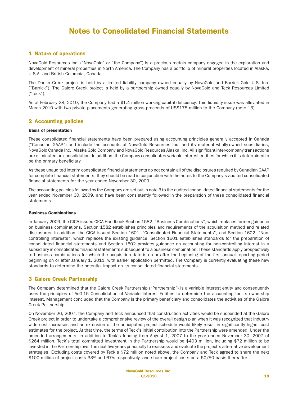## 1 Nature of operations

NovaGold Resources Inc. ("NovaGold" or "the Company") is a precious metals company engaged in the exploration and development of mineral properties in North America. The Company has a portfolio of mineral properties located in Alaska, U.S.A. and British Columbia, Canada.

The Donlin Creek project is held by a limited liability company owned equally by NovaGold and Barrick Gold U.S. Inc. ("Barrick"). The Galore Creek project is held by a partnership owned equally by NovaGold and Teck Resources Limited ("Teck").

As at February 28, 2010, the Company had a \$1.4 million working capital deficiency. This liquidity issue was alleviated in March 2010 with two private placements generating gross proceeds of US\$175 million to the Company (note 13).

# 2 Accounting policies

#### Basis of presentation

These consolidated financial statements have been prepared using accounting principles generally accepted in Canada ("Canadian GAAP") and include the accounts of NovaGold Resources Inc. and its material wholly-owned subsidiaries, NovaGold Canada Inc., Alaska Gold Company and NovaGold Resources Alaska, Inc. All significant inter-company transactions are eliminated on consolidation. In addition, the Company consolidates variable interest entities for which it is determined to be the primary beneficiary.

As these unaudited interim consolidated financial statements do not contain all of the disclosures required by Canadian GAAP for complete financial statements, they should be read in conjunction with the notes to the Company's audited consolidated financial statements for the year ended November 30, 2009.

The accounting policies followed by the Company are set out in note 3 to the audited consolidated financial statements for the year ended November 30, 2009, and have been consistently followed in the preparation of these consolidated financial statements.

#### Business Combinations

In January 2009, the CICA issued CICA Handbook Section 1582, "Business Combinations", which replaces former guidance on business combinations. Section 1582 establishes principles and requirements of the acquisition method and related disclosures. In addition, the CICA issued Section 1601, "Consolidated Financial Statements", and Section 1602, "Noncontrolling Interests", which replaces the existing guidance. Section 1601 establishes standards for the preparation of consolidated financial statements and Section 1602 provides guidance on accounting for non-controlling interest in a subsidiary in consolidated financial statements subsequent to a business combination. These standards apply prospectively to business combinations for which the acquisition date is on or after the beginning of the first annual reporting period beginning on or after January 1, 2011, with earlier application permitted. The Company is currently evaluating these new standards to determine the potential impact on its consolidated financial statements.

## 3 Galore Creek Partnership

The Company determined that the Galore Creek Partnership ("Partnership") is a variable interest entity and consequently uses the principles of AcG-15 Consolidation of Variable Interest Entities to determine the accounting for its ownership interest. Management concluded that the Company is the primary beneficiary and consolidates the activities of the Galore Creek Partnership.

On November 26, 2007, the Company and Teck announced that construction activities would be suspended at the Galore Creek project in order to undertake a comprehensive review of the overall design plan when it was recognized that industry wide cost increases and an extension of the anticipated project schedule would likely result in significantly higher cost estimates for the project. At that time, the terms of Teck's initial contribution into the Partnership were amended. Under the amended arrangements, in addition to Teck's funding from August 1, 2007 to the year ended November 30, 2007 of \$264 million, Teck's total committed investment in the Partnership would be \$403 million, including \$72 million to be invested in the Partnership over the next five years principally to reassess and evaluate the project's alternative development strategies. Excluding costs covered by Teck's \$72 million noted above, the Company and Teck agreed to share the next \$100 million of project costs 33% and 67% respectively, and share project costs on a 50/50 basis thereafter.

> NovaGold Resources Inc.  $01-2010$  and  $18$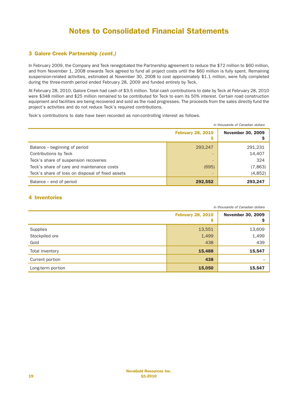# 3 Galore Creek Partnership *(cont.)*

In February 2009, the Company and Teck renegotiated the Partnership agreement to reduce the \$72 million to \$60 million, and from November 1, 2008 onwards Teck agreed to fund all project costs until the \$60 million is fully spent. Remaining suspension-related activities, estimated at November 30, 2008 to cost approximately \$1.1 million, were fully completed during the three-month period ended February 28, 2009 and funded entirely by Teck.

At February 28, 2010, Galore Creek had cash of \$3.5 million. Total cash contributions to date by Teck at February 28, 2010 were \$348 million and \$25 million remained to be contributed for Teck to earn its 50% interest. Certain road construction equipment and facilities are being recovered and sold as the road progresses. The proceeds from the sales directly fund the project's activities and do not reduce Teck's required contributions.

Teck's contributions to date have been recorded as non-controlling interest as follows.

|                                                  |                               | in thousands of Canadian dollars |
|--------------------------------------------------|-------------------------------|----------------------------------|
|                                                  | <b>February 28, 2010</b><br>s | <b>November 30, 2009</b>         |
| Balance – beginning of period                    | 293,247                       | 291,231                          |
| Contributions by Teck                            |                               | 14,407                           |
| Teck's share of suspension recoveries            | $\overline{\phantom{a}}$      | 324                              |
| Teck's share of care and maintenance costs       | (695)                         | (7,863)                          |
| Teck's share of loss on disposal of fixed assets |                               | (4,852)                          |
| Balance – end of period                          | 292,552                       | 293,247                          |

# 4 Inventories

|                   |                               | in thousands of Canadian dollars |
|-------------------|-------------------------------|----------------------------------|
|                   | <b>February 28, 2010</b><br>Ş | <b>November 30, 2009</b>         |
| Supplies          | 13,551                        | 13,609                           |
| Stockpiled ore    | 1,499                         | 1,499                            |
| Gold              | 438                           | 439                              |
| Total inventory   | 15,488                        | 15,547                           |
| Current portion   | 438                           |                                  |
| Long-term portion | 15,050                        | 15,547                           |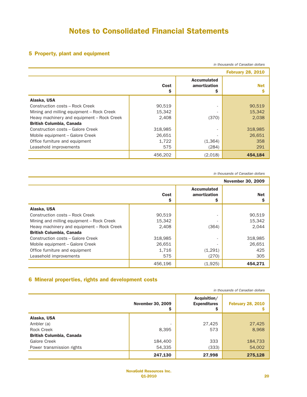# 5 Property, plant and equipment

|                                            |           |                                         | in thousands of Canadian dollars |
|--------------------------------------------|-----------|-----------------------------------------|----------------------------------|
|                                            |           |                                         | <b>February 28, 2010</b>         |
|                                            | Cost<br>s | <b>Accumulated</b><br>amortization<br>Ş | <b>Net</b><br>s                  |
| Alaska, USA                                |           |                                         |                                  |
| Construction costs - Rock Creek            | 90,519    | ٠                                       | 90,519                           |
| Mining and milling equipment - Rock Creek  | 15,342    |                                         | 15,342                           |
| Heavy machinery and equipment - Rock Creek | 2,408     | (370)                                   | 2,038                            |
| <b>British Columbia, Canada</b>            |           |                                         |                                  |
| Construction costs - Galore Creek          | 318,985   |                                         | 318,985                          |
| Mobile equipment - Galore Creek            | 26,651    |                                         | 26,651                           |
| Office furniture and equipment             | 1,722     | (1,364)                                 | 358                              |
| Leasehold improvements                     | 575       | (284)                                   | 291                              |
|                                            | 456,202   | (2,018)                                 | 454,184                          |

*in thousands of Canadian dollars*

|                                            |            |                                          | <b>November 30, 2009</b> |
|--------------------------------------------|------------|------------------------------------------|--------------------------|
|                                            | Cost<br>\$ | <b>Accumulated</b><br>amortization<br>\$ | <b>Net</b>               |
| Alaska, USA                                |            |                                          |                          |
| Construction costs - Rock Creek            | 90.519     |                                          | 90,519                   |
| Mining and milling equipment – Rock Creek  | 15.342     |                                          | 15,342                   |
| Heavy machinery and equipment - Rock Creek | 2.408      | (364)                                    | 2.044                    |
| <b>British Columbia, Canada</b>            |            |                                          |                          |
| Construction costs - Galore Creek          | 318,985    |                                          | 318,985                  |
| Mobile equipment - Galore Creek            | 26,651     |                                          | 26,651                   |
| Office furniture and equipment             | 1,716      | (1,291)                                  | 425                      |
| Leasehold improvements                     | 575        | (270)                                    | 305                      |
|                                            | 456.196    | (1,925)                                  | 454.271                  |

# 6 Mineral properties, rights and development costs

|                                 |                               |                                          | in thousands of Canadian dollars |
|---------------------------------|-------------------------------|------------------------------------------|----------------------------------|
|                                 | <b>November 30, 2009</b><br>Ş | Acquisition/<br><b>Expenditures</b><br>Ş | <b>February 28, 2010</b>         |
| Alaska, USA                     |                               |                                          |                                  |
| Ambler (a)                      | $\overline{\phantom{a}}$      | 27,425                                   | 27,425                           |
| Rock Creek                      | 8,395                         | 573                                      | 8,968                            |
| <b>British Columbia, Canada</b> |                               |                                          |                                  |
| Galore Creek                    | 184,400                       | 333                                      | 184,733                          |
| Power transmission rights       | 54,335                        | (333)                                    | 54,002                           |
|                                 | 247,130                       | 27,998                                   | 275,128                          |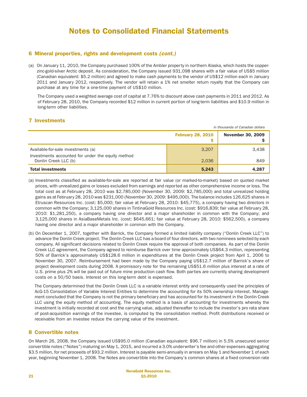# 6 Mineral properties, rights and development costs *(cont.)*

(a) On January 11, 2010, the Company purchased 100% of the Ambler property in northern Alaska, which hosts the copperzinc-gold-silver Arctic deposit. As consideration, the Company issued 931,098 shares with a fair value of US\$5 million (Canadian equivalent: \$5.2 million) and agreed to make cash payments to the vendor of US\$12 million each in January 2011 and January 2012, respectively. The vendor will retain a 1% net smelter return royalty that the Company can purchase at any time for a one-time payment of US\$10 million.

The Company used a weighted average cost of capital at 7.76% to discount above cash payments in 2011 and 2012. As of February 28, 2010, the Company recorded \$12 million in current portion of long-term liabilities and \$10.9 million in long-term other liabilities.

# 7 Investments

|                                                                                         |                          | in thousands of Canadian dollars |
|-----------------------------------------------------------------------------------------|--------------------------|----------------------------------|
|                                                                                         | <b>February 28, 2010</b> | <b>November 30, 2009</b>         |
| Available-for-sale investments (a)<br>Investments accounted for under the equity method | 3,207                    | 3,438                            |
| Donlin Creek LLC (b)                                                                    | 2,036                    | 849                              |
| <b>Total investments</b>                                                                | 5,243                    | 4,287                            |

- (a) Investments classified as available-for-sale are reported at fair value (or marked-to-market) based on quoted market prices, with unrealized gains or losses excluded from earnings and reported as other comprehensive income or loss. The total cost as at February 28, 2010 was \$2,785,000 (November 30, 2009: \$2,785,000) and total unrealized holding gains as at February 28, 2010 was \$231,000 (November 30, 2009: \$495,000). The balance includes 126,625 shares in Etruscan Resources Inc. (cost: \$5,000; fair value at February 28, 2010: \$45,775), a company having two directors in common with the Company; 3,125,000 shares in TintinaGold Resources Inc. (cost: \$916,839; fair value at February 28, 2010: \$1,281,250), a company having one director and a major shareholder in common with the Company; and 3,125,000 shares in AsiaBaseMetals Inc. (cost: \$645,661; fair value at February 28, 2010: \$562,500), a company having one director and a major shareholder in common with the Company.
- (b) On December 1, 2007, together with Barrick, the Company formed a limited liability company ("Donlin Creek LLC") to advance the Donlin Creek project. The Donlin Creek LLC has a board of four directors, with two nominees selected by each company. All significant decisions related to Donlin Creek require the approval of both companies. As part of the Donlin Creek LLC agreement, the Company agreed to reimburse Barrick over time approximately US\$64.3 million, representing 50% of Barrick's approximately US\$128.6 million in expenditures at the Donlin Creek project from April 1, 2006 to November 30, 2007. Reimbursement had been made by the Company paying US\$12.7 million of Barrick's share of project development costs during 2008. A promissory note for the remaining US\$51.6 million plus interest at a rate of U.S. prime plus 2% will be paid out of future mine production cash flow. Both parties are currently sharing development costs on a 50/50 basis. Interest on this long-term debt is expensed.

The Company determined that the Donlin Creek LLC is a variable interest entity and consequently used the principles of AcG-15 Consolidation of Variable Interest Entities to determine the accounting for its 50% ownership interest. Management concluded that the Company is not the primary beneficiary and has accounted for its investment in the Donlin Creek LLC using the equity method of accounting. The equity method is a basis of accounting for investments whereby the investment is initially recorded at cost and the carrying value, adjusted thereafter to include the investor's pro rata share of post-acquisition earnings of the investee, is computed by the consolidation method. Profit distributions received or receivable from an investee reduce the carrying value of the investment.

# 8 Convertible notes

On March 26, 2008, the Company issued US\$95.0 million (Canadian equivalent: \$96.7 million) in 5.5% unsecured senior convertible notes ("Notes") maturing on May 1, 2015, and incurred a 3.0% underwriter's fee and other expenses aggregating \$3.5 million, for net proceeds of \$93.2 million. Interest is payable semi-annually in arrears on May 1 and November 1 of each year, beginning November 1, 2008. The Notes are convertible into the Company's common shares at a fixed conversion rate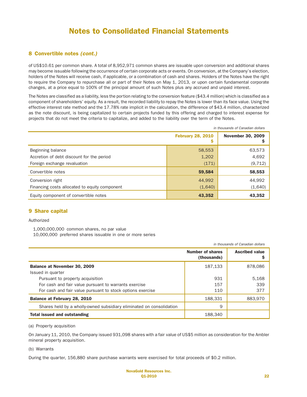## 8 Convertible notes *(cont.)*

of US\$10.61 per common share. A total of 8,952,971 common shares are issuable upon conversion and additional shares may become issuable following the occurrence of certain corporate acts or events. On conversion, at the Company's election, holders of the Notes will receive cash, if applicable, or a combination of cash and shares. Holders of the Notes have the right to require the Company to repurchase all or part of their Notes on May 1, 2013, or upon certain fundamental corporate changes, at a price equal to 100% of the principal amount of such Notes plus any accrued and unpaid interest.

The Notes are classified as a liability, less the portion relating to the conversion feature (\$43.4 million) which is classified as a component of shareholders' equity. As a result, the recorded liability to repay the Notes is lower than its face value. Using the effective interest rate method and the 17.78% rate implicit in the calculation, the difference of \$43.4 million, characterized as the note discount, is being capitalized to certain projects funded by this offering and charged to interest expense for projects that do not meet the criteria to capitalize, and added to the liability over the term of the Notes.

|                                               |                               | in thousands of Canadian dollars |
|-----------------------------------------------|-------------------------------|----------------------------------|
|                                               | <b>February 28, 2010</b><br>Ş | <b>November 30, 2009</b><br>Ş    |
| Beginning balance                             | 58,553                        | 63,573                           |
| Accretion of debt discount for the period     | 1,202                         | 4,692                            |
| Foreign exchange revaluation                  | (171)                         | (9, 712)                         |
| Convertible notes                             | 59,584                        | 58,553                           |
| Conversion right                              | 44,992                        | 44,992                           |
| Financing costs allocated to equity component | (1,640)                       | (1,640)                          |
| Equity component of convertible notes         | 43,352                        | 43,352                           |

#### 9 Share capital

#### Authorized

1,000,000,000 common shares, no par value 10,000,000 preferred shares issuable in one or more series

|                                                                      |                                        | in thousands of Canadian dollars |
|----------------------------------------------------------------------|----------------------------------------|----------------------------------|
|                                                                      | <b>Number of shares</b><br>(thousands) | <b>Ascribed value</b>            |
| Balance at November 30, 2009                                         | 187,133                                | 878,086                          |
| Issued in quarter                                                    |                                        |                                  |
| Pursuant to property acquisition                                     | 931                                    | 5,168                            |
| For cash and fair value pursuant to warrants exercise                | 157                                    | 339                              |
| For cash and fair value pursuant to stock options exercise           | 110                                    | 377                              |
| Balance at February 28, 2010                                         | 188,331                                | 883.970                          |
| Shares held by a wholly-owned subsidiary eliminated on consolidation | 9                                      |                                  |
| Total issued and outstanding                                         | 188,340                                |                                  |

(a) Property acquisition

On January 11, 2010, the Company issued 931,098 shares with a fair value of US\$5 million as consideration for the Ambler mineral property acquisition.

(b) Warrants

During the quarter, 156,880 share purchase warrants were exercised for total proceeds of \$0.2 million.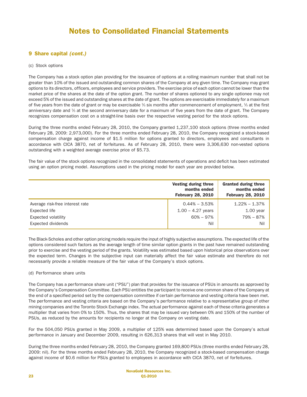# 9 Share capital *(cont.)*

#### (c) Stock options

The Company has a stock option plan providing for the issuance of options at a rolling maximum number that shall not be greater than 10% of the issued and outstanding common shares of the Company at any given time. The Company may grant options to its directors, officers, employees and service providers. The exercise price of each option cannot be lower than the market price of the shares at the date of the option grant. The number of shares optioned to any single optionee may not exceed 5% of the issued and outstanding shares at the date of grant. The options are exercisable immediately for a maximum of five years from the date of grant or may be exercisable  $\frac{1}{3}$  six months after commencement of employment,  $\frac{1}{3}$  at the first anniversary date and 1/3 at the second anniversary date for a maximum of five years from the date of grant. The Company recognizes compensation cost on a straight-line basis over the respective vesting period for the stock options.

During the three months ended February 28, 2010, the Company granted 1,237,100 stock options (three months ended February 28, 2009: 2,973,000). For the three months ended February 28, 2010, the Company recognized a stock-based compensation charge against income of \$1.5 million for options granted to directors, employees and consultants in accordance with CICA 3870, net of forfeitures. As of February 28, 2010, there were 3,306,630 non-vested options outstanding with a weighted average exercise price of \$5.73.

The fair value of the stock options recognized in the consolidated statements of operations and deficit has been estimated using an option pricing model. Assumptions used in the pricing model for each year are provided below.

|                                 | Vesting during three<br>months ended<br><b>February 28, 2010</b> | <b>Granted during three</b><br>months ended<br><b>February 28, 2010</b> |
|---------------------------------|------------------------------------------------------------------|-------------------------------------------------------------------------|
| Average risk-free interest rate | $0.44\% - 3.53\%$                                                | $1.22\% - 1.37\%$                                                       |
| Expected life                   | $1.00 - 4.27$ years                                              | $1.00$ year                                                             |
| Expected volatility             | $60\% - 97\%$                                                    | 79% - 87%                                                               |
| <b>Expected dividends</b>       | Nil                                                              | Nil                                                                     |

The Black-Scholes and other option pricing models require the input of highly subjective assumptions. The expected life of the options considered such factors as the average length of time similar option grants in the past have remained outstanding prior to exercise and the vesting period of the grants. Volatility was estimated based upon historical price observations over the expected term. Changes in the subjective input can materially affect the fair value estimate and therefore do not necessarily provide a reliable measure of the fair value of the Company's stock options.

#### (d) Performance share units

The Company has a performance share unit ("PSU") plan that provides for the issuance of PSUs in amounts as approved by the Company's Compensation Committee. Each PSU entitles the participant to receive one common share of the Company at the end of a specified period set by the compensation committee if certain performance and vesting criteria have been met. The performance and vesting criteria are based on the Company's performance relative to a representative group of other mining companies and the Toronto Stock Exchange index. The actual performance against each of these criteria generates a multiplier that varies from 0% to 150%. Thus, the shares that may be issued vary between 0% and 150% of the number of PSUs, as reduced by the amounts for recipients no longer at the Company on vesting date.

For the 504,050 PSUs granted in May 2009, a multiplier of 125% was determined based upon the Company's actual performance in January and December 2009, resulting in 626,313 shares that will vest in May 2010.

During the three months ended February 28, 2010, the Company granted 169,800 PSUs (three months ended February 28, 2009: nil). For the three months ended February 28, 2010, the Company recognized a stock-based compensation charge against income of \$0.6 million for PSUs granted to employees in accordance with CICA 3870, net of forfeitures.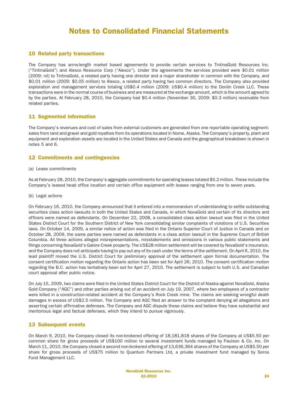### 10 Related party transactions

The Company has arms-length market based agreements to provide certain services to TintinaGold Resources Inc. ("TintinaGold") and Alexco Resource Corp ("Alexco"). Under the agreements the services provided were \$0.01 million (2009: nil) to TintinaGold, a related party having one director and a major shareholder in common with the Company, and \$0.01 million (2009: \$0.05 million) to Alexco, a related party having two common directors. The Company also provided exploration and management services totaling US\$0.4 million (2009: US\$0.4 million) to the Donlin Creek LLC. These transactions were in the normal course of business and are measured at the exchange amount, which is the amount agreed to by the parties. At February 28, 2010, the Company had \$0.4 million (November 30, 2009: \$0.3 million) receivable from related parties.

### 11 Segmented information

The Company's revenues and cost of sales from external customers are generated from one reportable operating segment: sales from land and gravel and gold royalties from its operations located in Nome, Alaska. The Company's property, plant and equipment and exploration assets are located in the United States and Canada and the geographical breakdown is shown in notes 5 and 6.

## 12 Commitments and contingencies

(a) Lease commitments

As at February 28, 2010, the Company's aggregate commitments for operating leases totaled \$5.2 million. These include the Company's leased head office location and certain office equipment with leases ranging from one to seven years.

(b) Legal actions

On February 16, 2010, the Company announced that it entered into a memorandum of understanding to settle outstanding securities class action lawsuits in both the United States and Canada, in which NovaGold and certain of its directors and officers were named as defendants. On December 22, 2008, a consolidated class action lawsuit was filed in the United States District Court for the Southern District of New York consolidating similar complaints of violations of U.S. Securities laws. On October 14, 2009, a similar notice of action was filed in the Ontario Superior Court of Justice in Canada and on October 28, 2009, the same parties were named as defendants in a class action lawsuit in the Supreme Court of British Columbia. All three actions alleged misrepresentations, misstatements and omissions in various public statements and filings concerning NovaGold's Galore Creek property. The US\$28 million settlement will be covered by NovaGold's insurance, and the Company does not anticipate having to pay out any of its cash under the terms of the settlement. On April 6, 2010, the lead plaintiff moved the U.S. District Court for preliminary approval of the settlement upon formal documentation. The consent certification motion regarding the Ontario action has been set for April 26, 2010. The consent certification motion regarding the B.C. action has tentatively been set for April 27, 2010. The settlement is subject to both U.S. and Canadian court approval after public notice.

On July 15, 2009, two claims were filed in the United States District Court for the District of Alaska against NovaGold, Alaska Gold Company ("AGC") and other parties arising out of an accident on July 19, 2007, where two employees of a contractor were killed in a construction-related accident at the Company's Rock Creek mine. The claims are seeking wrongful death damages in excess of US\$2.5 million. The Company and AGC filed an answer to the complaint denying all allegations and asserting certain affirmative defenses. The Company and AGC dispute these claims and believe they have substantial and meritorious legal and factual defenses, which they intend to pursue vigorously.

#### 13 Subsequent events

On March 9, 2010, the Company closed its non-brokered offering of 18,181,818 shares of the Company at US\$5.50 per common share for gross proceeds of US\$100 million to several investment funds managed by Paulson & Co. Inc. On March 11, 2010, the Company closed a second non-brokered offering of 13,636,364 shares of the Company at US\$5.50 per share for gross proceeds of US\$75 million to Quantum Partners Ltd, a private investment fund managed by Soros Fund Management LLC.

> NovaGold Resources Inc. Q1-2010 24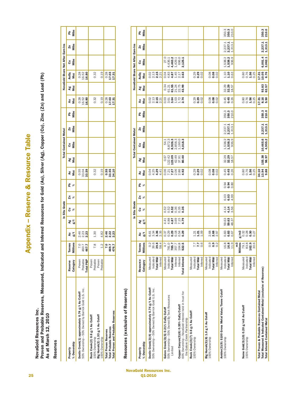**Appendix - Reserve & Resource Table** Appendix – Reserve & Resource Table

NovaGold Resources Inc.

NovaGold Resources Inc.<br>Proven and Probable Reserves, Measured, Indicated and Inferred Resources for Gold (Au), Silver (Ag), Copper (Cu), Zinc (Zn) and Lead (Pb)<br>As at March 12, 2010 Proven and Probable Reserves, Measured, Indicated and Inferred Resources for Gold (Au), Silver (Ag), Copper (Cu), Zinc (Zn) and Lead (Pb) As at March 12, 2010

**Reserves** Reserves

|                                                                                                             |                                          |                              |                          |          | In Situ Grade |      |            |                        |                  | <b>Total Contained Metal</b> |               |        |                              |           |                              | NovaGold Share Net After Earn-Ins |                |                   |
|-------------------------------------------------------------------------------------------------------------|------------------------------------------|------------------------------|--------------------------|----------|---------------|------|------------|------------------------|------------------|------------------------------|---------------|--------|------------------------------|-----------|------------------------------|-----------------------------------|----------------|-------------------|
| % Ownership<br>Property                                                                                     | Category<br>Reserve                      | Millions<br>Tonnes           |                          | ag<br>Sa | రె <b>శ</b>   | ผื ≽ | <u>은</u> % | <b>Z</b><br>Moz        | <b>Ag</b><br>Moz | $\overline{a}$ $\frac{a}{b}$ | $\frac{5}{2}$ | 요<br>기 | Au<br>Moz                    | Ag<br>Moz | AuEq<br>Moz                  | $\overline{c}$ is                 | $\frac{2n}{2}$ | n<br>Nils<br>Nils |
| 50% Ownership - 50% Owned by Barrick Gold U.S. Inc.<br>Donlin Creek(1) approximately 0.74 g/t Au Cutoff     | Probable<br>Total P&P<br>Proven          | 7.0<br>460.7<br><b>467.7</b> | $2.46$<br>$2.3$<br>$2.3$ |          |               |      |            | 0.55<br>33.59<br>33.59 |                  |                              |               |        | $0.28$<br>$16.80$<br>$16.80$ |           | $0.28$<br>$16.80$<br>$16.80$ |                                   |                |                   |
| Big Hurrah(2) 1.33 g/t Au Cutoff<br>Rock Creek(2) 0.6 g/t Au Cutoff<br>100% Ownership<br>100% Ownership     | Probable<br>Probable<br>Proven<br>Proven | 7.8<br>$\frac{2}{1}$         | 1.30<br>4.82             |          |               |      |            | 0.19<br>0.32           |                  |                              |               |        | 0.19<br>0.32                 |           | 0.32<br>0.19                 |                                   |                |                   |
| <b>Total Proven and Probable Reserves</b><br><b>Total Probable Reserves</b><br><b>Total Proven Reserves</b> |                                          | 7.0<br>4.93.7<br>476.7       | 2.32<br>2.23<br>2.23     |          |               |      |            | 0.55<br>33.50<br>34.10 |                  |                              |               |        | 0.28<br>17.31<br>17.31       |           | $0.28$<br>17.31<br>17.31     |                                   |                |                   |

# Resources (exclusive of Reserves) Resources (exclusive of Reserves)

|                                                                                                            |                                  |                                                                           |                                                 |                                         | In Situ Grade                                 |                            |                                                         |                                           |                             | <b>Total Contained Metal</b>        |                                     |                               |                                           |                                                                |                                                       | NovaGold Share Net After Earn-Ins   |                               |                |  |
|------------------------------------------------------------------------------------------------------------|----------------------------------|---------------------------------------------------------------------------|-------------------------------------------------|-----------------------------------------|-----------------------------------------------|----------------------------|---------------------------------------------------------|-------------------------------------------|-----------------------------|-------------------------------------|-------------------------------------|-------------------------------|-------------------------------------------|----------------------------------------------------------------|-------------------------------------------------------|-------------------------------------|-------------------------------|----------------|--|
| Property                                                                                                   | Resource                         | Tonnes                                                                    | ₹                                               | ¥ ಕೃ                                    | డె శ                                          |                            | <u>ក្ខ</u> េ %                                          | <b>Au</b><br>Moz                          | Ag<br>Moz                   | ౘ                                   | Σn                                  | 운                             | Au<br>Moz                                 | Ag<br>Moz                                                      | AuEq<br>Moz                                           | ౘ                                   | <sup>Zn</sup><br>Milbs        | 운              |  |
| % Ownership                                                                                                | Category                         | Millions                                                                  | $\frac{d}{dt}$                                  |                                         |                                               |                            |                                                         |                                           |                             | Mlbs                                | Mllbs                               | Mlbs                          |                                           |                                                                |                                                       | Mllbs                               |                               | Mlbs           |  |
| Donlin Creek(3)(4) approximately 0.74 g/t Au Cutoff<br>50% Ownership - 50% Owned by Barrick Gold U.S. Inc. | Indicated<br>Measured            | 0.2<br>39.6                                                               | $6.38$<br>$0.34$<br>$0.36$                      |                                         |                                               |                            |                                                         | 0444                                      |                             |                                     |                                     |                               | ខ្លួង <b>ង</b><br>ខ្លួង <b>ង</b> ដ        |                                                                | 0.02<br>2.13                                          |                                     |                               |                |  |
|                                                                                                            | Inferred<br><b>Total M&amp;I</b> | 39.8<br>58.4                                                              | 2.35                                            |                                         |                                               |                            |                                                         |                                           |                             |                                     |                                     |                               |                                           |                                                                | $2.15$<br>2.21                                        |                                     |                               |                |  |
| Galore Creek(3)(5) 0.21% CuEq Cutoff                                                                       | Measured                         |                                                                           |                                                 | 4.41                                    |                                               |                            |                                                         |                                           | 0.67                        | 54.1                                |                                     |                               |                                           | 0.34                                                           |                                                       | 27.0<br>4,436.1                     |                               |                |  |
| 50% Ownership - 50% Owned By Teck Resources                                                                | Indicated                        | $781.7$<br>$785.7$<br>$785.7$<br>$0.048$<br>$0.048$<br>$0.048$<br>$0.048$ | ិ<br>កំបូ <b>ង</b> ម៉ូដូ <b>ង</b><br>កំបូង ម៉ូង | $449244$<br>$69450$<br>$6945$<br>$6945$ | ង និង ម៉ូន ម៉ូ<br>ដូច ខ្ញុំ ខ្ញុំ ខ្ញុំ ខ្ញុំ |                            |                                                         | $877888$<br>$0.77888$<br>$0.77888$        | 122.42                      | 8,872.3                             |                                     |                               | <b>ខិធីធ្វូខិដ្ឋ<br/>ខិធីធ្វូខិដ្ឋ</b>    | ជ <b>ៈ 5</b><br><b>៩ 5</b> 4 5<br><b>៩ 5</b> 4 5 6<br><b>8</b> | $0.38$<br>0.487                                       |                                     |                               |                |  |
| Limited                                                                                                    | Inferred<br><b>Total M&amp;I</b> |                                                                           |                                                 |                                         |                                               |                            |                                                         |                                           | 123.09                      | 8,926.3<br>2,858.3<br>1,160.0       |                                     |                               |                                           |                                                                |                                                       | $4,463.1$<br>1,429.1<br>696.0       |                               |                |  |
| Copper Canyon(3)(6) 0.35% CuEq Cutoff                                                                      | Inferred                         |                                                                           |                                                 |                                         |                                               |                            |                                                         |                                           | $42.49$<br>$37.91$<br>80.40 |                                     |                                     |                               |                                           |                                                                | $1.45$<br>$2.3$<br>$3.3$                              |                                     |                               |                |  |
| 60% Ownership - NovaGold interest held in trust for<br>the Galore Creek Partnership                        | <b>Total Inferred</b>            |                                                                           |                                                 |                                         |                                               |                            |                                                         |                                           |                             | 4,018.3                             |                                     |                               |                                           |                                                                |                                                       | 2,125.1                             |                               |                |  |
| Rock Creek(3)(7) 0.6 g/t Au Cutoff                                                                         | Measured                         |                                                                           |                                                 |                                         |                                               |                            |                                                         |                                           |                             |                                     |                                     |                               |                                           |                                                                |                                                       |                                     |                               |                |  |
| 100% Ownership                                                                                             | Indicated                        |                                                                           |                                                 |                                         |                                               |                            |                                                         |                                           |                             |                                     |                                     |                               |                                           |                                                                |                                                       |                                     |                               |                |  |
|                                                                                                            | Inferred<br><b>Total M&amp;I</b> | $7.7$<br>0.5                                                              | $1.21$<br>$1.39$<br>$1.09$                      |                                         |                                               |                            |                                                         | <u>្តី ខ្លួ</u>                           |                             |                                     |                                     |                               | ನೆ <b>ನಿ</b><br>೧೮೦                       |                                                                | 0.29<br>0.02                                          |                                     |                               |                |  |
| Big Hurrah(3)(8) 1.0 g/t Au Cutoff                                                                         | Measured                         |                                                                           |                                                 |                                         |                                               |                            |                                                         |                                           |                             |                                     |                                     |                               |                                           |                                                                |                                                       |                                     |                               |                |  |
| 100% Ownership                                                                                             | Indicated                        |                                                                           |                                                 |                                         |                                               |                            |                                                         |                                           |                             |                                     |                                     |                               |                                           |                                                                |                                                       |                                     |                               |                |  |
|                                                                                                            | Inferred<br><b>Total M&amp;I</b> | 0002<br>000                                                               | $2.68$<br>2.68                                  |                                         |                                               |                            |                                                         | 8888                                      |                             |                                     |                                     |                               | 8888                                      |                                                                | 88<br>0.02                                            |                                     |                               |                |  |
|                                                                                                            |                                  |                                                                           |                                                 |                                         |                                               |                            |                                                         |                                           |                             |                                     |                                     |                               |                                           |                                                                |                                                       |                                     |                               |                |  |
| Ambler(3)(9) \$100 Gross Metal Value/Tonne Cutoff<br>100% Ownership                                        | Indicated<br>Measured            |                                                                           |                                                 |                                         |                                               |                            |                                                         |                                           |                             |                                     |                                     |                               |                                           |                                                                |                                                       |                                     |                               | 350.3          |  |
|                                                                                                            | <b>Total M&amp;I</b>             | $16.8$<br>$14.9$<br>$11.9$                                                | 0.83<br>0.83<br>0.67                            | 59.63<br>59.63<br>48.37                 | $4.48$<br>$4.48$                              | $6.03$<br>$6.03$<br>$4.99$ | $\frac{3}{9}$ $\frac{3}{9}$ $\frac{3}{8}$ $\frac{3}{8}$ | $0.45$<br>0.45<br>0.26                    | 32.29<br>32.29<br>18.57     | $1,538.2$<br>$1,538.2$<br>$1,538.9$ | $2,237.1$<br>$2,237.1$<br>$1,313.1$ | $350.3$<br>$350.3$<br>$210.0$ | $0.45$<br>0.45<br>0.26                    | 32.29<br>32.357<br>18.57                                       | $1.10$<br>$0.63$                                      | $1,538.9$<br>$1,538.9$<br>$1,538.9$ | 2,237.1<br>2,237.1<br>1,313.1 | 350.3<br>210.0 |  |
|                                                                                                            | Inferred                         |                                                                           |                                                 |                                         |                                               |                            |                                                         |                                           |                             |                                     |                                     |                               |                                           |                                                                |                                                       |                                     |                               |                |  |
|                                                                                                            |                                  | m3<br>Millions                                                            |                                                 |                                         |                                               |                            |                                                         |                                           |                             |                                     |                                     |                               |                                           |                                                                |                                                       |                                     |                               |                |  |
| Nome Gold(3)(10) 0.20 g/m3 Au Cutoff                                                                       | Measured                         |                                                                           | 13<br>0.328<br>0.38<br>0.37                     |                                         |                                               |                            |                                                         |                                           |                             |                                     |                                     |                               |                                           |                                                                |                                                       |                                     |                               |                |  |
| 100% Ownership                                                                                             | Indicated                        |                                                                           |                                                 |                                         |                                               |                            |                                                         |                                           |                             |                                     |                                     |                               |                                           |                                                                |                                                       |                                     |                               |                |  |
|                                                                                                            | <b>Total M&amp;I</b>             | 7939<br>8329<br>1926                                                      |                                                 |                                         |                                               |                            |                                                         | 8<br>8 5 <b>8</b> 8<br>0 0 <del>1</del> 0 |                             |                                     |                                     |                               | 8<br>8 5 <b>8</b> 8<br>0 0 <del>1</del> 0 |                                                                | 8<br>8 7 8 8<br>0 0 <del>1</del> 0                    |                                     |                               |                |  |
|                                                                                                            | Inferred                         |                                                                           |                                                 |                                         |                                               |                            |                                                         |                                           |                             |                                     |                                     |                               |                                           |                                                                |                                                       |                                     |                               |                |  |
| Total Proven & Probable Reserves Contained Metal                                                           |                                  |                                                                           |                                                 |                                         |                                               |                            |                                                         |                                           |                             |                                     |                                     |                               | 17.31                                     |                                                                |                                                       |                                     |                               |                |  |
| Total Measured & Indicated Contained Metal (exclusive of Reserves)                                         |                                  |                                                                           |                                                 |                                         |                                               |                            |                                                         |                                           | 155.38                      | 10,465.6                            | 2,237.1                             | 350.3<br>210.0                | 8.16<br>5.50                              | 93.83<br>62.57                                                 | $\begin{array}{c} 17.31 \\ 10.05 \\ 6.76 \end{array}$ | 6,001.4<br>3,062.1                  | 2,237.1<br>1,313.1            | 350.3          |  |
| <b>Total Inferred Contained Metal</b>                                                                      |                                  |                                                                           |                                                 |                                         |                                               |                            |                                                         |                                           | 98.97                       |                                     | 1,313.1                             |                               |                                           |                                                                |                                                       |                                     |                               | 210.0          |  |

NovaGold Resources Inc. 25 Q1-2010